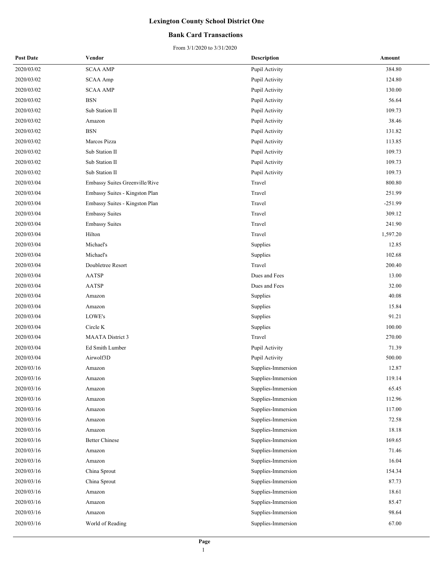### **Bank Card Transactions**

| <b>Post Date</b> | Vendor                         | <b>Description</b> | Amount    |
|------------------|--------------------------------|--------------------|-----------|
| 2020/03/02       | <b>SCAA AMP</b>                | Pupil Activity     | 384.80    |
| 2020/03/02       | <b>SCAA Amp</b>                | Pupil Activity     | 124.80    |
| 2020/03/02       | <b>SCAA AMP</b>                | Pupil Activity     | 130.00    |
| 2020/03/02       | <b>BSN</b>                     | Pupil Activity     | 56.64     |
| 2020/03/02       | Sub Station II                 | Pupil Activity     | 109.73    |
| 2020/03/02       | Amazon                         | Pupil Activity     | 38.46     |
| 2020/03/02       | <b>BSN</b>                     | Pupil Activity     | 131.82    |
| 2020/03/02       | Marcos Pizza                   | Pupil Activity     | 113.85    |
| 2020/03/02       | Sub Station II                 | Pupil Activity     | 109.73    |
| 2020/03/02       | Sub Station II                 | Pupil Activity     | 109.73    |
| 2020/03/02       | Sub Station II                 | Pupil Activity     | 109.73    |
| 2020/03/04       | Embassy Suites Greenville/Rive | Travel             | 800.80    |
| 2020/03/04       | Embassy Suites - Kingston Plan | Travel             | 251.99    |
| 2020/03/04       | Embassy Suites - Kingston Plan | Travel             | $-251.99$ |
| 2020/03/04       | <b>Embassy Suites</b>          | Travel             | 309.12    |
| 2020/03/04       | <b>Embassy Suites</b>          | Travel             | 241.90    |
| 2020/03/04       | Hilton                         | Travel             | 1,597.20  |
| 2020/03/04       | Michael's                      | Supplies           | 12.85     |
| 2020/03/04       | Michael's                      | Supplies           | 102.68    |
| 2020/03/04       | Doubletree Resort              | Travel             | 200.40    |
| 2020/03/04       | <b>AATSP</b>                   | Dues and Fees      | 13.00     |
| 2020/03/04       | <b>AATSP</b>                   | Dues and Fees      | 32.00     |
| 2020/03/04       | Amazon                         | Supplies           | 40.08     |
| 2020/03/04       | Amazon                         | Supplies           | 15.84     |
| 2020/03/04       | LOWE's                         | Supplies           | 91.21     |
| 2020/03/04       | Circle K                       | Supplies           | 100.00    |
| 2020/03/04       | <b>MAATA</b> District 3        | Travel             | 270.00    |
| 2020/03/04       | Ed Smith Lumber                | Pupil Activity     | 71.39     |
| 2020/03/04       | Airwolf3D                      | Pupil Activity     | 500.00    |
| 2020/03/16       | Amazon                         | Supplies-Immersion | 12.87     |
| 2020/03/16       | Amazon                         | Supplies-Immersion | 119.14    |
| 2020/03/16       | Amazon                         | Supplies-Immersion | 65.45     |
| 2020/03/16       | Amazon                         | Supplies-Immersion | 112.96    |
| 2020/03/16       | Amazon                         | Supplies-Immersion | 117.00    |
| 2020/03/16       | Amazon                         | Supplies-Immersion | 72.58     |
| 2020/03/16       | Amazon                         | Supplies-Immersion | 18.18     |
| 2020/03/16       | <b>Better Chinese</b>          | Supplies-Immersion | 169.65    |
| 2020/03/16       | Amazon                         | Supplies-Immersion | 71.46     |
| 2020/03/16       | Amazon                         | Supplies-Immersion | 16.04     |
| 2020/03/16       | China Sprout                   | Supplies-Immersion | 154.34    |
| 2020/03/16       | China Sprout                   | Supplies-Immersion | 87.73     |
| 2020/03/16       | Amazon                         | Supplies-Immersion | 18.61     |
| 2020/03/16       | Amazon                         | Supplies-Immersion | 85.47     |
| 2020/03/16       | Amazon                         | Supplies-Immersion | 98.64     |
| 2020/03/16       | World of Reading               | Supplies-Immersion | 67.00     |
|                  |                                |                    |           |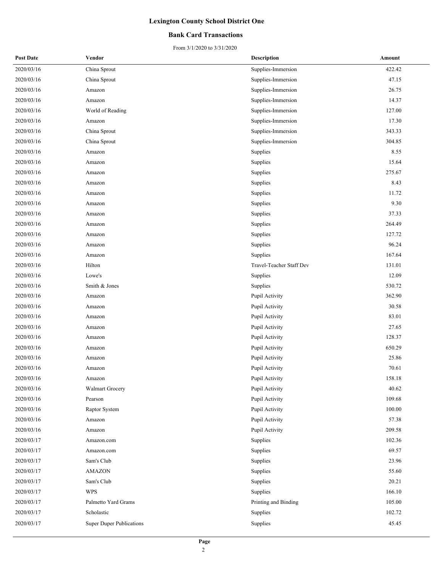### **Bank Card Transactions**

| <b>Post Date</b> | Vendor                          | <b>Description</b>       | Amount |
|------------------|---------------------------------|--------------------------|--------|
| 2020/03/16       | China Sprout                    | Supplies-Immersion       | 422.42 |
| 2020/03/16       | China Sprout                    | Supplies-Immersion       | 47.15  |
| 2020/03/16       | Amazon                          | Supplies-Immersion       | 26.75  |
| 2020/03/16       | Amazon                          | Supplies-Immersion       | 14.37  |
| 2020/03/16       | World of Reading                | Supplies-Immersion       | 127.00 |
| 2020/03/16       | Amazon                          | Supplies-Immersion       | 17.30  |
| 2020/03/16       | China Sprout                    | Supplies-Immersion       | 343.33 |
| 2020/03/16       | China Sprout                    | Supplies-Immersion       | 304.85 |
| 2020/03/16       | Amazon                          | Supplies                 | 8.55   |
| 2020/03/16       | Amazon                          | Supplies                 | 15.64  |
| 2020/03/16       | Amazon                          | Supplies                 | 275.67 |
| 2020/03/16       | Amazon                          | Supplies                 | 8.43   |
| 2020/03/16       | Amazon                          | Supplies                 | 11.72  |
| 2020/03/16       | Amazon                          | Supplies                 | 9.30   |
| 2020/03/16       | Amazon                          | Supplies                 | 37.33  |
| 2020/03/16       | Amazon                          | Supplies                 | 264.49 |
| 2020/03/16       | Amazon                          | Supplies                 | 127.72 |
| 2020/03/16       | Amazon                          | Supplies                 | 96.24  |
| 2020/03/16       | Amazon                          | Supplies                 | 167.64 |
| 2020/03/16       | Hilton                          | Travel-Teacher Staff Dev | 131.01 |
| 2020/03/16       | Lowe's                          | Supplies                 | 12.09  |
| 2020/03/16       | Smith & Jones                   | Supplies                 | 530.72 |
| 2020/03/16       | Amazon                          | Pupil Activity           | 362.90 |
| 2020/03/16       | Amazon                          | Pupil Activity           | 30.58  |
| 2020/03/16       | Amazon                          | Pupil Activity           | 83.01  |
| 2020/03/16       | Amazon                          | Pupil Activity           | 27.65  |
| 2020/03/16       | Amazon                          | Pupil Activity           | 128.37 |
| 2020/03/16       | Amazon                          | Pupil Activity           | 650.29 |
| 2020/03/16       | Amazon                          | Pupil Activity           | 25.86  |
| 2020/03/16       | Amazon                          | Pupil Activity           | 70.61  |
| 2020/03/16       | Amazon                          | Pupil Activity           | 158.18 |
| 2020/03/16       | Walmart Grocery                 | Pupil Activity           | 40.62  |
| 2020/03/16       | Pearson                         | Pupil Activity           | 109.68 |
| 2020/03/16       | Raptor System                   | Pupil Activity           | 100.00 |
| 2020/03/16       | Amazon                          | Pupil Activity           | 57.38  |
| 2020/03/16       | Amazon                          | Pupil Activity           | 209.58 |
| 2020/03/17       | Amazon.com                      | Supplies                 | 102.36 |
| 2020/03/17       | Amazon.com                      | Supplies                 | 69.57  |
| 2020/03/17       | Sam's Club                      | Supplies                 | 23.96  |
| 2020/03/17       | <b>AMAZON</b>                   | Supplies                 | 55.60  |
| 2020/03/17       | Sam's Club                      | Supplies                 | 20.21  |
| 2020/03/17       | <b>WPS</b>                      | Supplies                 | 166.10 |
| 2020/03/17       | Palmetto Yard Grams             | Printing and Binding     | 105.00 |
| 2020/03/17       | Scholastic                      | Supplies                 | 102.72 |
| 2020/03/17       | <b>Super Duper Publications</b> | Supplies                 | 45.45  |
|                  |                                 |                          |        |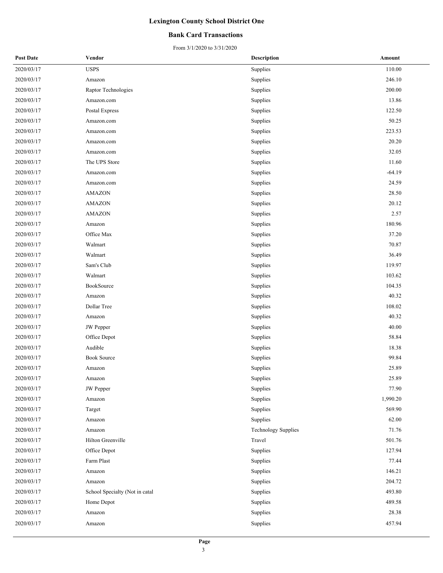### **Bank Card Transactions**

| <b>Post Date</b> | Vendor                         | <b>Description</b>  | Amount   |
|------------------|--------------------------------|---------------------|----------|
| 2020/03/17       | <b>USPS</b>                    | Supplies            | 110.00   |
| 2020/03/17       | Amazon                         | Supplies            | 246.10   |
| 2020/03/17       | Raptor Technologies            | Supplies            | 200.00   |
| 2020/03/17       | Amazon.com                     | Supplies            | 13.86    |
| 2020/03/17       | Postal Express                 | Supplies            | 122.50   |
| 2020/03/17       | Amazon.com                     | Supplies            | 50.25    |
| 2020/03/17       | Amazon.com                     | Supplies            | 223.53   |
| 2020/03/17       | Amazon.com                     | Supplies            | 20.20    |
| 2020/03/17       | Amazon.com                     | Supplies            | 32.05    |
| 2020/03/17       | The UPS Store                  | Supplies            | 11.60    |
| 2020/03/17       | Amazon.com                     | Supplies            | $-64.19$ |
| 2020/03/17       | Amazon.com                     | Supplies            | 24.59    |
| 2020/03/17       | <b>AMAZON</b>                  | Supplies            | 28.50    |
| 2020/03/17       | <b>AMAZON</b>                  | Supplies            | 20.12    |
| 2020/03/17       | <b>AMAZON</b>                  | Supplies            | 2.57     |
| 2020/03/17       | Amazon                         | Supplies            | 180.96   |
| 2020/03/17       | Office Max                     | Supplies            | 37.20    |
| 2020/03/17       | Walmart                        | Supplies            | 70.87    |
| 2020/03/17       | Walmart                        | Supplies            | 36.49    |
| 2020/03/17       | Sam's Club                     | Supplies            | 119.97   |
| 2020/03/17       | Walmart                        | Supplies            | 103.62   |
| 2020/03/17       | BookSource                     | Supplies            | 104.35   |
| 2020/03/17       | Amazon                         | Supplies            | 40.32    |
| 2020/03/17       | Dollar Tree                    | Supplies            | 108.02   |
| 2020/03/17       | Amazon                         | Supplies            | 40.32    |
| 2020/03/17       | JW Pepper                      | Supplies            | 40.00    |
| 2020/03/17       | Office Depot                   | Supplies            | 58.84    |
| 2020/03/17       | Audible                        | Supplies            | 18.38    |
| 2020/03/17       | <b>Book Source</b>             | Supplies            | 99.84    |
| 2020/03/17       | Amazon                         | Supplies            | 25.89    |
| 2020/03/17       | Amazon                         | Supplies            | 25.89    |
| 2020/03/17       | <b>JW</b> Pepper               | Supplies            | 77.90    |
| 2020/03/17       | Amazon                         | Supplies            | 1,990.20 |
| 2020/03/17       | Target                         | Supplies            | 569.90   |
| 2020/03/17       | Amazon                         | Supplies            | 62.00    |
| 2020/03/17       | Amazon                         | Technology Supplies | 71.76    |
| 2020/03/17       | Hilton Greenville              | Travel              | 501.76   |
| 2020/03/17       | Office Depot                   | Supplies            | 127.94   |
| 2020/03/17       | Farm Plast                     | Supplies            | 77.44    |
| 2020/03/17       | Amazon                         | Supplies            | 146.21   |
| 2020/03/17       | Amazon                         | Supplies            | 204.72   |
| 2020/03/17       | School Specialty (Not in catal | Supplies            | 493.80   |
| 2020/03/17       | Home Depot                     | Supplies            | 489.58   |
| 2020/03/17       | Amazon                         | Supplies            | 28.38    |
| 2020/03/17       | Amazon                         | Supplies            | 457.94   |
|                  |                                |                     |          |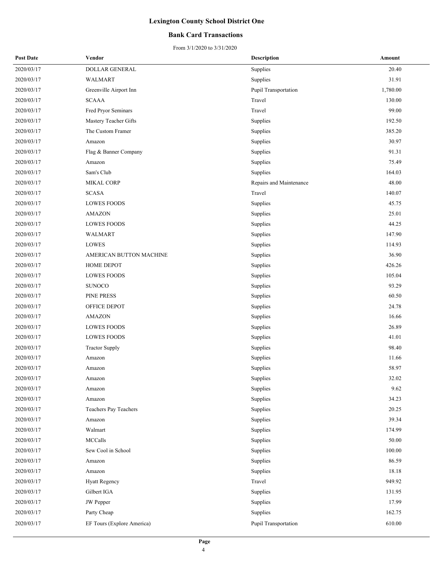### **Bank Card Transactions**

| <b>Post Date</b> | Vendor                     | Description             | Amount   |
|------------------|----------------------------|-------------------------|----------|
| 2020/03/17       | DOLLAR GENERAL             | Supplies                | 20.40    |
| 2020/03/17       | <b>WALMART</b>             | Supplies                | 31.91    |
| 2020/03/17       | Greenville Airport Inn     | Pupil Transportation    | 1,780.00 |
| 2020/03/17       | <b>SCAAA</b>               | Travel                  | 130.00   |
| 2020/03/17       | Fred Pryor Seminars        | Travel                  | 99.00    |
| 2020/03/17       | Mastery Teacher Gifts      | Supplies                | 192.50   |
| 2020/03/17       | The Custom Framer          | Supplies                | 385.20   |
| 2020/03/17       | Amazon                     | Supplies                | 30.97    |
| 2020/03/17       | Flag & Banner Company      | Supplies                | 91.31    |
| 2020/03/17       | Amazon                     | Supplies                | 75.49    |
| 2020/03/17       | Sam's Club                 | Supplies                | 164.03   |
| 2020/03/17       | <b>MIKAL CORP</b>          | Repairs and Maintenance | 48.00    |
| 2020/03/17       | <b>SCASA</b>               | Travel                  | 140.07   |
| 2020/03/17       | <b>LOWES FOODS</b>         | Supplies                | 45.75    |
| 2020/03/17       | AMAZON                     | Supplies                | 25.01    |
| 2020/03/17       | <b>LOWES FOODS</b>         | Supplies                | 44.25    |
| 2020/03/17       | <b>WALMART</b>             | Supplies                | 147.90   |
| 2020/03/17       | <b>LOWES</b>               | Supplies                | 114.93   |
| 2020/03/17       | AMERICAN BUTTON MACHINE    | Supplies                | 36.90    |
| 2020/03/17       | HOME DEPOT                 | Supplies                | 426.26   |
| 2020/03/17       | <b>LOWES FOODS</b>         | Supplies                | 105.04   |
| 2020/03/17       | <b>SUNOCO</b>              | Supplies                | 93.29    |
| 2020/03/17       | PINE PRESS                 | Supplies                | 60.50    |
| 2020/03/17       | OFFICE DEPOT               | Supplies                | 24.78    |
| 2020/03/17       | <b>AMAZON</b>              | Supplies                | 16.66    |
| 2020/03/17       | <b>LOWES FOODS</b>         | Supplies                | 26.89    |
| 2020/03/17       | <b>LOWES FOODS</b>         | Supplies                | 41.01    |
| 2020/03/17       | <b>Tractor Supply</b>      | Supplies                | 98.40    |
| 2020/03/17       | Amazon                     | Supplies                | 11.66    |
| 2020/03/17       | Amazon                     | Supplies                | 58.97    |
| 2020/03/17       | Amazon                     | Supplies                | 32.02    |
| 2020/03/17       | Amazon                     | Supplies                | 9.62     |
| 2020/03/17       | Amazon                     | Supplies                | 34.23    |
| 2020/03/17       | Teachers Pay Teachers      | Supplies                | 20.25    |
| 2020/03/17       | Amazon                     | Supplies                | 39.34    |
| 2020/03/17       | Walmart                    | Supplies                | 174.99   |
| 2020/03/17       | MCCalls                    | Supplies                | 50.00    |
| 2020/03/17       | Sew Cool in School         | Supplies                | 100.00   |
| 2020/03/17       | Amazon                     | Supplies                | 86.59    |
| 2020/03/17       | Amazon                     | Supplies                | 18.18    |
| 2020/03/17       | <b>Hyatt Regency</b>       | Travel                  | 949.92   |
| 2020/03/17       | Gilbert IGA                | Supplies                | 131.95   |
| 2020/03/17       | <b>JW</b> Pepper           | Supplies                | 17.99    |
| 2020/03/17       | Party Cheap                | Supplies                | 162.75   |
| 2020/03/17       | EF Tours (Explore America) | Pupil Transportation    | 610.00   |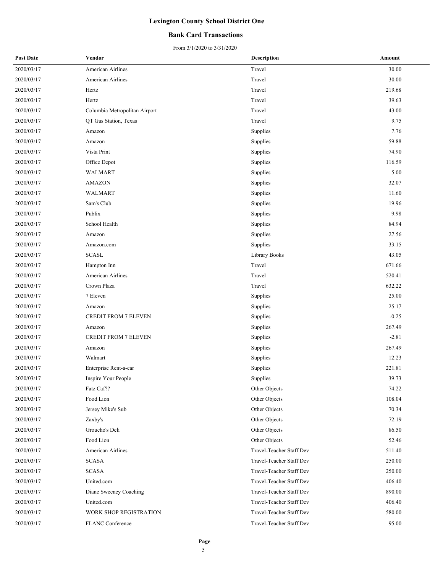### **Bank Card Transactions**

| <b>Post Date</b> | Vendor                        | <b>Description</b>       | Amount  |
|------------------|-------------------------------|--------------------------|---------|
| 2020/03/17       | American Airlines             | Travel                   | 30.00   |
| 2020/03/17       | American Airlines             | Travel                   | 30.00   |
| 2020/03/17       | Hertz                         | Travel                   | 219.68  |
| 2020/03/17       | Hertz                         | Travel                   | 39.63   |
| 2020/03/17       | Columbia Metropolitan Airport | Travel                   | 43.00   |
| 2020/03/17       | QT Gas Station, Texas         | Travel                   | 9.75    |
| 2020/03/17       | Amazon                        | Supplies                 | 7.76    |
| 2020/03/17       | Amazon                        | Supplies                 | 59.88   |
| 2020/03/17       | Vista Print                   | Supplies                 | 74.90   |
| 2020/03/17       | Office Depot                  | Supplies                 | 116.59  |
| 2020/03/17       | WALMART                       | Supplies                 | 5.00    |
| 2020/03/17       | <b>AMAZON</b>                 | Supplies                 | 32.07   |
| 2020/03/17       | WALMART                       | Supplies                 | 11.60   |
| 2020/03/17       | Sam's Club                    | Supplies                 | 19.96   |
| 2020/03/17       | Publix                        | Supplies                 | 9.98    |
| 2020/03/17       | School Health                 | Supplies                 | 84.94   |
| 2020/03/17       | Amazon                        | Supplies                 | 27.56   |
| 2020/03/17       | Amazon.com                    | Supplies                 | 33.15   |
| 2020/03/17       | <b>SCASL</b>                  | Library Books            | 43.05   |
| 2020/03/17       | Hampton Inn                   | Travel                   | 671.66  |
| 2020/03/17       | American Airlines             | Travel                   | 520.41  |
| 2020/03/17       | Crown Plaza                   | Travel                   | 632.22  |
| 2020/03/17       | 7 Eleven                      | Supplies                 | 25.00   |
| 2020/03/17       | Amazon                        | Supplies                 | 25.17   |
| 2020/03/17       | <b>CREDIT FROM 7 ELEVEN</b>   | Supplies                 | $-0.25$ |
| 2020/03/17       | Amazon                        | Supplies                 | 267.49  |
| 2020/03/17       | <b>CREDIT FROM 7 ELEVEN</b>   | Supplies                 | $-2.81$ |
| 2020/03/17       | Amazon                        | Supplies                 | 267.49  |
| 2020/03/17       | Walmart                       | Supplies                 | 12.23   |
| 2020/03/17       | Enterprise Rent-a-car         | Supplies                 | 221.81  |
| 2020/03/17       | Inspire Your People           | Supplies                 | 39.73   |
| 2020/03/17       | Fatz Caf??                    | Other Objects            | 74.22   |
| 2020/03/17       | Food Lion                     | Other Objects            | 108.04  |
| 2020/03/17       | Jersey Mike's Sub             | Other Objects            | 70.34   |
| 2020/03/17       | Zaxby's                       | Other Objects            | 72.19   |
| 2020/03/17       | Groucho's Deli                | Other Objects            | 86.50   |
| 2020/03/17       | Food Lion                     | Other Objects            | 52.46   |
| 2020/03/17       | American Airlines             | Travel-Teacher Staff Dev | 511.40  |
| 2020/03/17       | <b>SCASA</b>                  | Travel-Teacher Staff Dev | 250.00  |
| 2020/03/17       | <b>SCASA</b>                  | Travel-Teacher Staff Dev | 250.00  |
| 2020/03/17       | United.com                    | Travel-Teacher Staff Dev | 406.40  |
| 2020/03/17       | Diane Sweeney Coaching        | Travel-Teacher Staff Dev | 890.00  |
| 2020/03/17       | United.com                    | Travel-Teacher Staff Dev | 406.40  |
| 2020/03/17       | WORK SHOP REGISTRATION        | Travel-Teacher Staff Dev | 580.00  |
| 2020/03/17       | FLANC Conference              | Travel-Teacher Staff Dev | 95.00   |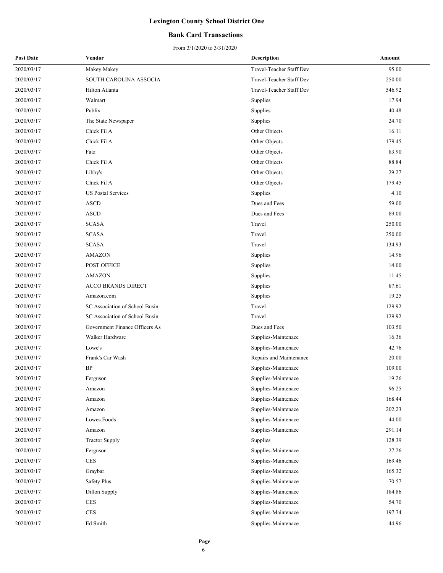### **Bank Card Transactions**

| <b>Post Date</b> | Vendor                         | <b>Description</b>       | Amount |
|------------------|--------------------------------|--------------------------|--------|
| 2020/03/17       | Makey Makey                    | Travel-Teacher Staff Dev | 95.00  |
| 2020/03/17       | SOUTH CAROLINA ASSOCIA         | Travel-Teacher Staff Dev | 250.00 |
| 2020/03/17       | Hilton Atlanta                 | Travel-Teacher Staff Dev | 546.92 |
| 2020/03/17       | Walmart                        | Supplies                 | 17.94  |
| 2020/03/17       | Publix                         | Supplies                 | 40.48  |
| 2020/03/17       | The State Newspaper            | Supplies                 | 24.70  |
| 2020/03/17       | Chick Fil A                    | Other Objects            | 16.11  |
| 2020/03/17       | Chick Fil A                    | Other Objects            | 179.45 |
| 2020/03/17       | Fatz                           | Other Objects            | 83.90  |
| 2020/03/17       | Chick Fil A                    | Other Objects            | 88.84  |
| 2020/03/17       | Libby's                        | Other Objects            | 29.27  |
| 2020/03/17       | Chick Fil A                    | Other Objects            | 179.45 |
| 2020/03/17       | <b>US Postal Services</b>      | Supplies                 | 4.10   |
| 2020/03/17       | <b>ASCD</b>                    | Dues and Fees            | 59.00  |
| 2020/03/17       | <b>ASCD</b>                    | Dues and Fees            | 89.00  |
| 2020/03/17       | <b>SCASA</b>                   | Travel                   | 250.00 |
| 2020/03/17       | <b>SCASA</b>                   | Travel                   | 250.00 |
| 2020/03/17       | <b>SCASA</b>                   | Travel                   | 134.93 |
| 2020/03/17       | <b>AMAZON</b>                  | Supplies                 | 14.96  |
| 2020/03/17       | POST OFFICE                    | Supplies                 | 14.00  |
| 2020/03/17       | <b>AMAZON</b>                  | Supplies                 | 11.45  |
| 2020/03/17       | <b>ACCO BRANDS DIRECT</b>      | Supplies                 | 87.61  |
| 2020/03/17       | Amazon.com                     | Supplies                 | 19.25  |
| 2020/03/17       | SC Association of School Busin | Travel                   | 129.92 |
| 2020/03/17       | SC Association of School Busin | Travel                   | 129.92 |
| 2020/03/17       | Government Finance Officers As | Dues and Fees            | 103.50 |
| 2020/03/17       | Walker Hardware                | Supplies-Maintenace      | 16.36  |
| 2020/03/17       | Lowe's                         | Supplies-Maintenace      | 42.76  |
| 2020/03/17       | Frank's Car Wash               | Repairs and Maintenance  | 20.00  |
| 2020/03/17       | BP                             | Supplies-Maintenace      | 109.00 |
| 2020/03/17       | Ferguson                       | Supplies-Maintenace      | 19.26  |
| 2020/03/17       | Amazon                         | Supplies-Maintenace      | 96.25  |
| 2020/03/17       | Amazon                         | Supplies-Maintenace      | 168.44 |
| 2020/03/17       | Amazon                         | Supplies-Maintenace      | 202.23 |
| 2020/03/17       | Lowes Foods                    | Supplies-Maintenace      | 44.00  |
| 2020/03/17       | Amazon                         | Supplies-Maintenace      | 291.14 |
| 2020/03/17       | <b>Tractor Supply</b>          | Supplies                 | 128.39 |
| 2020/03/17       | Ferguson                       | Supplies-Maintenace      | 27.26  |
| 2020/03/17       | $\rm{CES}$                     | Supplies-Maintenace      | 169.46 |
| 2020/03/17       | Graybar                        | Supplies-Maintenace      | 165.32 |
| 2020/03/17       | Safety Plus                    | Supplies-Maintenace      | 70.57  |
| 2020/03/17       | Dillon Supply                  | Supplies-Maintenace      | 184.86 |
| 2020/03/17       | CES                            | Supplies-Maintenace      | 54.70  |
| 2020/03/17       | $\mbox{CES}$                   | Supplies-Maintenace      | 197.74 |
| 2020/03/17       | Ed Smith                       | Supplies-Maintenace      | 44.96  |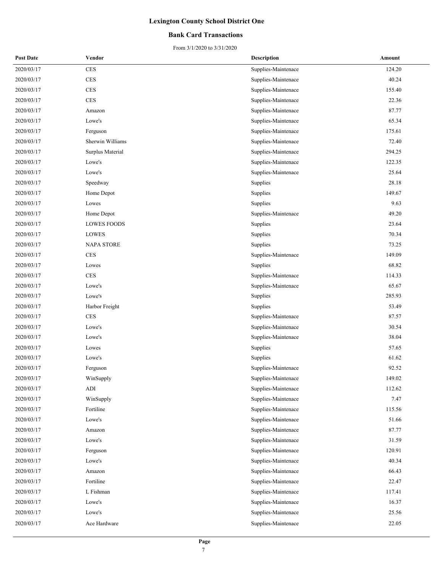### **Bank Card Transactions**

| <b>Post Date</b> | Vendor                          | <b>Description</b>  | Amount |
|------------------|---------------------------------|---------------------|--------|
| 2020/03/17       | CES                             | Supplies-Maintenace | 124.20 |
| 2020/03/17       | <b>CES</b>                      | Supplies-Maintenace | 40.24  |
| 2020/03/17       | <b>CES</b>                      | Supplies-Maintenace | 155.40 |
| 2020/03/17       | <b>CES</b>                      | Supplies-Maintenace | 22.36  |
| 2020/03/17       | Amazon                          | Supplies-Maintenace | 87.77  |
| 2020/03/17       | Lowe's                          | Supplies-Maintenace | 65.34  |
| 2020/03/17       | Ferguson                        | Supplies-Maintenace | 175.61 |
| 2020/03/17       | Sherwin Williams                | Supplies-Maintenace | 72.40  |
| 2020/03/17       | Surplus Material                | Supplies-Maintenace | 294.25 |
| 2020/03/17       | Lowe's                          | Supplies-Maintenace | 122.35 |
| 2020/03/17       | Lowe's                          | Supplies-Maintenace | 25.64  |
| 2020/03/17       | Speedway                        | Supplies            | 28.18  |
| 2020/03/17       | Home Depot                      | Supplies            | 149.67 |
| 2020/03/17       | Lowes                           | Supplies            | 9.63   |
| 2020/03/17       | Home Depot                      | Supplies-Maintenace | 49.20  |
| 2020/03/17       | <b>LOWES FOODS</b>              | Supplies            | 23.64  |
| 2020/03/17       | LOWES                           | Supplies            | 70.34  |
| 2020/03/17       | <b>NAPA STORE</b>               | Supplies            | 73.25  |
| 2020/03/17       | <b>CES</b>                      | Supplies-Maintenace | 149.09 |
| 2020/03/17       | Lowes                           | Supplies            | 68.82  |
| 2020/03/17       | <b>CES</b>                      | Supplies-Maintenace | 114.33 |
| 2020/03/17       | Lowe's                          | Supplies-Maintenace | 65.67  |
| 2020/03/17       | Lowe's                          | Supplies            | 285.93 |
| 2020/03/17       | Harbor Freight                  | Supplies            | 53.49  |
| 2020/03/17       | <b>CES</b>                      | Supplies-Maintenace | 87.57  |
| 2020/03/17       | Lowe's                          | Supplies-Maintenace | 30.54  |
| 2020/03/17       | Lowe's                          | Supplies-Maintenace | 38.04  |
| 2020/03/17       | Lowes                           | Supplies            | 57.65  |
| 2020/03/17       | Lowe's                          | Supplies            | 61.62  |
| 2020/03/17       | Ferguson                        | Supplies-Maintenace | 92.52  |
| 2020/03/17       | $\ensuremath{\text{WinSupply}}$ | Supplies-Maintenace | 149.02 |
| 2020/03/17       | ADI                             | Supplies-Maintenace | 112.62 |
| 2020/03/17       | WinSupply                       | Supplies-Maintenace | 7.47   |
| 2020/03/17       | Fortiline                       | Supplies-Maintenace | 115.56 |
| 2020/03/17       | Lowe's                          | Supplies-Maintenace | 51.66  |
| 2020/03/17       | Amazon                          | Supplies-Maintenace | 87.77  |
| 2020/03/17       | Lowe's                          | Supplies-Maintenace | 31.59  |
| 2020/03/17       | Ferguson                        | Supplies-Maintenace | 120.91 |
| 2020/03/17       | Lowe's                          | Supplies-Maintenace | 40.34  |
| 2020/03/17       | Amazon                          | Supplies-Maintenace | 66.43  |
| 2020/03/17       | Fortiline                       | Supplies-Maintenace | 22.47  |
| 2020/03/17       | L Fishman                       | Supplies-Maintenace | 117.41 |
| 2020/03/17       | Lowe's                          | Supplies-Maintenace | 16.37  |
| 2020/03/17       | Lowe's                          | Supplies-Maintenace | 25.56  |
| 2020/03/17       | Ace Hardware                    | Supplies-Maintenace | 22.05  |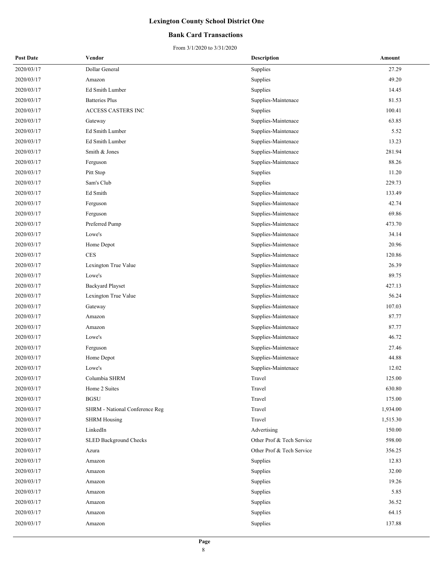### **Bank Card Transactions**

| <b>Post Date</b> | Vendor                         | <b>Description</b>        | Amount   |
|------------------|--------------------------------|---------------------------|----------|
| 2020/03/17       | Dollar General                 | Supplies                  | 27.29    |
| 2020/03/17       | Amazon                         | Supplies                  | 49.20    |
| 2020/03/17       | Ed Smith Lumber                | Supplies                  | 14.45    |
| 2020/03/17       | <b>Batteries Plus</b>          | Supplies-Maintenace       | 81.53    |
| 2020/03/17       | ACCESS CASTERS INC             | Supplies                  | 100.41   |
| 2020/03/17       | Gateway                        | Supplies-Maintenace       | 63.85    |
| 2020/03/17       | Ed Smith Lumber                | Supplies-Maintenace       | 5.52     |
| 2020/03/17       | Ed Smith Lumber                | Supplies-Maintenace       | 13.23    |
| 2020/03/17       | Smith & Jones                  | Supplies-Maintenace       | 281.94   |
| 2020/03/17       | Ferguson                       | Supplies-Maintenace       | 88.26    |
| 2020/03/17       | Pitt Stop                      | Supplies                  | 11.20    |
| 2020/03/17       | Sam's Club                     | Supplies                  | 229.73   |
| 2020/03/17       | Ed Smith                       | Supplies-Maintenace       | 133.49   |
| 2020/03/17       | Ferguson                       | Supplies-Maintenace       | 42.74    |
| 2020/03/17       | Ferguson                       | Supplies-Maintenace       | 69.86    |
| 2020/03/17       | Preferred Pump                 | Supplies-Maintenace       | 473.70   |
| 2020/03/17       | Lowe's                         | Supplies-Maintenace       | 34.14    |
| 2020/03/17       | Home Depot                     | Supplies-Maintenace       | 20.96    |
| 2020/03/17       | $\rm{CES}$                     | Supplies-Maintenace       | 120.86   |
| 2020/03/17       | Lexington True Value           | Supplies-Maintenace       | 26.39    |
| 2020/03/17       | Lowe's                         | Supplies-Maintenace       | 89.75    |
| 2020/03/17       | <b>Backyard Playset</b>        | Supplies-Maintenace       | 427.13   |
| 2020/03/17       | Lexington True Value           | Supplies-Maintenace       | 56.24    |
| 2020/03/17       | Gateway                        | Supplies-Maintenace       | 107.03   |
| 2020/03/17       | Amazon                         | Supplies-Maintenace       | 87.77    |
| 2020/03/17       | Amazon                         | Supplies-Maintenace       | 87.77    |
| 2020/03/17       | Lowe's                         | Supplies-Maintenace       | 46.72    |
| 2020/03/17       | Ferguson                       | Supplies-Maintenace       | 27.46    |
| 2020/03/17       | Home Depot                     | Supplies-Maintenace       | 44.88    |
| 2020/03/17       | Lowe's                         | Supplies-Maintenace       | 12.02    |
| 2020/03/17       | Columbia SHRM                  | Travel                    | 125.00   |
| 2020/03/17       | Home 2 Suites                  | Travel                    | 630.80   |
| 2020/03/17       | <b>BGSU</b>                    | Travel                    | 175.00   |
| 2020/03/17       | SHRM - National Conference Reg | Travel                    | 1,934.00 |
| 2020/03/17       | <b>SHRM Housing</b>            | Travel                    | 1,515.30 |
| 2020/03/17       | LinkedIn                       | Advertising               | 150.00   |
| 2020/03/17       | SLED Background Checks         | Other Prof & Tech Service | 598.00   |
| 2020/03/17       | Azura                          | Other Prof & Tech Service | 356.25   |
| 2020/03/17       | Amazon                         | Supplies                  | 12.83    |
| 2020/03/17       | Amazon                         | Supplies                  | 32.00    |
| 2020/03/17       | Amazon                         | Supplies                  | 19.26    |
| 2020/03/17       | Amazon                         | Supplies                  | 5.85     |
| 2020/03/17       | Amazon                         | Supplies                  | 36.52    |
| 2020/03/17       | Amazon                         | Supplies                  | 64.15    |
| 2020/03/17       | Amazon                         | Supplies                  | 137.88   |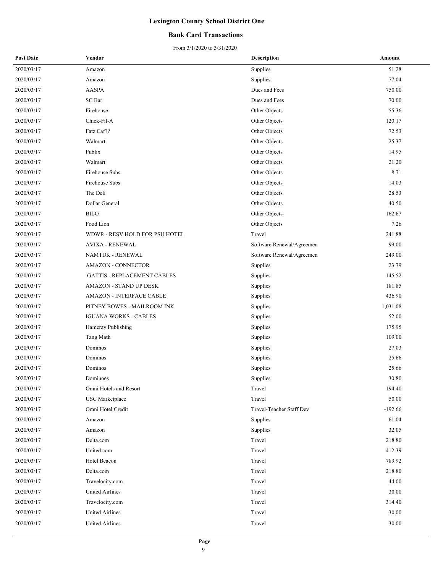### **Bank Card Transactions**

| <b>Post Date</b> | Vendor                         | Description               | Amount    |
|------------------|--------------------------------|---------------------------|-----------|
| 2020/03/17       | Amazon                         | Supplies                  | 51.28     |
| 2020/03/17       | Amazon                         | Supplies                  | 77.04     |
| 2020/03/17       | <b>AASPA</b>                   | Dues and Fees             | 750.00    |
| 2020/03/17       | SC Bar                         | Dues and Fees             | 70.00     |
| 2020/03/17       | Firehouse                      | Other Objects             | 55.36     |
| 2020/03/17       | Chick-Fil-A                    | Other Objects             | 120.17    |
| 2020/03/17       | Fatz Caf??                     | Other Objects             | 72.53     |
| 2020/03/17       | Walmart                        | Other Objects             | 25.37     |
| 2020/03/17       | Publix                         | Other Objects             | 14.95     |
| 2020/03/17       | Walmart                        | Other Objects             | 21.20     |
| 2020/03/17       | Firehouse Subs                 | Other Objects             | 8.71      |
| 2020/03/17       | Firehouse Subs                 | Other Objects             | 14.03     |
| 2020/03/17       | The Deli                       | Other Objects             | 28.53     |
| 2020/03/17       | Dollar General                 | Other Objects             | 40.50     |
| 2020/03/17       | <b>BILO</b>                    | Other Objects             | 162.67    |
| 2020/03/17       | Food Lion                      | Other Objects             | 7.26      |
| 2020/03/17       | WDWR - RESV HOLD FOR PSU HOTEL | Travel                    | 241.88    |
| 2020/03/17       | <b>AVIXA - RENEWAL</b>         | Software Renewal/Agreemen | 99.00     |
| 2020/03/17       | NAMTUK - RENEWAL               | Software Renewal/Agreemen | 249.00    |
| 2020/03/17       | <b>AMAZON - CONNECTOR</b>      | Supplies                  | 23.79     |
| 2020/03/17       | .GATTIS - REPLACEMENT CABLES   | Supplies                  | 145.52    |
| 2020/03/17       | AMAZON - STAND UP DESK         | Supplies                  | 181.85    |
| 2020/03/17       | AMAZON - INTERFACE CABLE       | Supplies                  | 436.90    |
| 2020/03/17       | PITNEY BOWES - MAILROOM INK    | Supplies                  | 1,031.08  |
| 2020/03/17       | <b>IGUANA WORKS - CABLES</b>   | Supplies                  | 52.00     |
| 2020/03/17       | Hameray Publishing             | Supplies                  | 175.95    |
| 2020/03/17       | Tang Math                      | Supplies                  | 109.00    |
| 2020/03/17       | Dominos                        | Supplies                  | 27.03     |
| 2020/03/17       | Dominos                        | Supplies                  | 25.66     |
| 2020/03/17       | Dominos                        | Supplies                  | 25.66     |
| 2020/03/17       | Dominoes                       | Supplies                  | 30.80     |
| 2020/03/17       | Omni Hotels and Resort         | Travel                    | 194.40    |
| 2020/03/17       | <b>USC</b> Marketplace         | Travel                    | 50.00     |
| 2020/03/17       | Omni Hotel Credit              | Travel-Teacher Staff Dev  | $-192.66$ |
| 2020/03/17       | Amazon                         | Supplies                  | 61.04     |
| 2020/03/17       | Amazon                         | Supplies                  | 32.05     |
| 2020/03/17       | Delta.com                      | Travel                    | 218.80    |
| 2020/03/17       | United.com                     | Travel                    | 412.39    |
| 2020/03/17       | Hotel Beacon                   | Travel                    | 789.92    |
| 2020/03/17       | Delta.com                      | Travel                    | 218.80    |
| 2020/03/17       | Travelocity.com                | Travel                    | 44.00     |
| 2020/03/17       | United Airlines                | Travel                    | 30.00     |
| 2020/03/17       | Travelocity.com                | Travel                    | 314.40    |
| 2020/03/17       | United Airlines                | Travel                    | 30.00     |
| 2020/03/17       | <b>United Airlines</b>         | Travel                    | 30.00     |
|                  |                                |                           |           |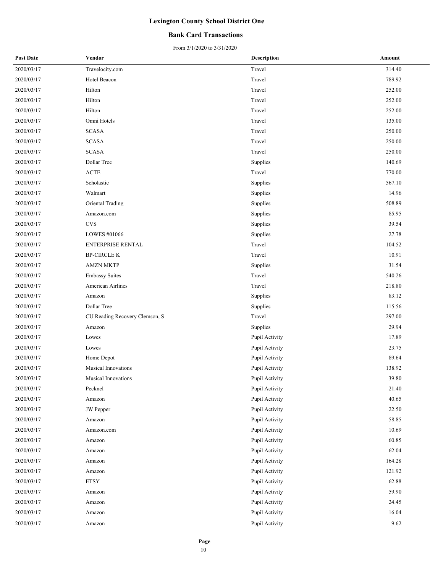### **Bank Card Transactions**

From 3/1/2020 to 3/31/2020

| <b>Post Date</b> | Vendor                         | <b>Description</b> | Amount |
|------------------|--------------------------------|--------------------|--------|
| 2020/03/17       | Travelocity.com                | Travel             | 314.40 |
| 2020/03/17       | Hotel Beacon                   | Travel             | 789.92 |
| 2020/03/17       | Hilton                         | Travel             | 252.00 |
| 2020/03/17       | Hilton                         | Travel             | 252.00 |
| 2020/03/17       | Hilton                         | Travel             | 252.00 |
| 2020/03/17       | Omni Hotels                    | Travel             | 135.00 |
| 2020/03/17       | <b>SCASA</b>                   | Travel             | 250.00 |
| 2020/03/17       | <b>SCASA</b>                   | Travel             | 250.00 |
| 2020/03/17       | <b>SCASA</b>                   | Travel             | 250.00 |
| 2020/03/17       | Dollar Tree                    | Supplies           | 140.69 |
| 2020/03/17       | <b>ACTE</b>                    | Travel             | 770.00 |
| 2020/03/17       | Scholastic                     | Supplies           | 567.10 |
| 2020/03/17       | Walmart                        | Supplies           | 14.96  |
| 2020/03/17       | Oriental Trading               | Supplies           | 508.89 |
| 2020/03/17       | Amazon.com                     | Supplies           | 85.95  |
| 2020/03/17       | $_{\mbox{\small\textsf{CVS}}}$ | Supplies           | 39.54  |
| 2020/03/17       | LOWES #01066                   | Supplies           | 27.78  |
| 2020/03/17       | <b>ENTERPRISE RENTAL</b>       | Travel             | 104.52 |
| 2020/03/17       | <b>BP-CIRCLE K</b>             | Travel             | 10.91  |
| 2020/03/17       | <b>AMZN MKTP</b>               | Supplies           | 31.54  |
| 2020/03/17       | <b>Embassy Suites</b>          | Travel             | 540.26 |
| 2020/03/17       | American Airlines              | Travel             | 218.80 |
| 2020/03/17       | Amazon                         | Supplies           | 83.12  |
| 2020/03/17       | Dollar Tree                    | Supplies           | 115.56 |
| 2020/03/17       | CU Reading Recovery Clemson, S | Travel             | 297.00 |
| 2020/03/17       | Amazon                         | Supplies           | 29.94  |
| 2020/03/17       | Lowes                          | Pupil Activity     | 17.89  |
| 2020/03/17       | Lowes                          | Pupil Activity     | 23.75  |
| 2020/03/17       | Home Depot                     | Pupil Activity     | 89.64  |
| 2020/03/17       | Musical Innovations            | Pupil Activity     | 138.92 |
| 2020/03/17       | Musical Innovations            | Pupil Activity     | 39.80  |
| 2020/03/17       | Pecknel                        | Pupil Activity     | 21.40  |
| 2020/03/17       | Amazon                         | Pupil Activity     | 40.65  |
| 2020/03/17       | JW Pepper                      | Pupil Activity     | 22.50  |
| 2020/03/17       | Amazon                         | Pupil Activity     | 58.85  |
| 2020/03/17       | Amazon.com                     | Pupil Activity     | 10.69  |
| 2020/03/17       | Amazon                         | Pupil Activity     | 60.85  |
| 2020/03/17       | Amazon                         | Pupil Activity     | 62.04  |
| 2020/03/17       | Amazon                         | Pupil Activity     | 164.28 |
| 2020/03/17       | Amazon                         | Pupil Activity     | 121.92 |
| 2020/03/17       | <b>ETSY</b>                    | Pupil Activity     | 62.88  |
| 2020/03/17       | Amazon                         | Pupil Activity     | 59.90  |
| 2020/03/17       | Amazon                         | Pupil Activity     | 24.45  |
| 2020/03/17       | Amazon                         | Pupil Activity     | 16.04  |
| 2020/03/17       | Amazon                         | Pupil Activity     | 9.62   |
|                  |                                |                    |        |

10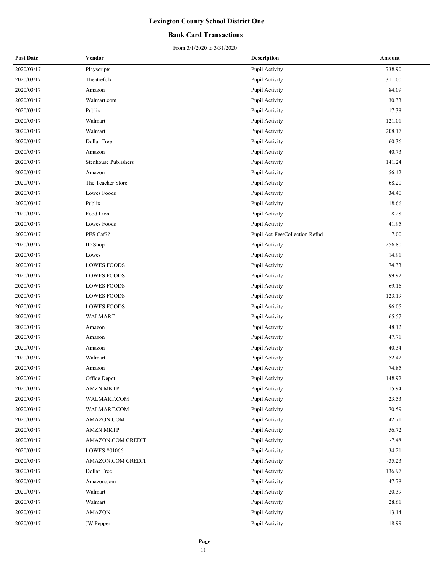### **Bank Card Transactions**

| <b>Post Date</b> | Vendor                      | <b>Description</b>             | Amount   |
|------------------|-----------------------------|--------------------------------|----------|
| 2020/03/17       | Playscripts                 | Pupil Activity                 | 738.90   |
| 2020/03/17       | Theatrefolk                 | Pupil Activity                 | 311.00   |
| 2020/03/17       | Amazon                      | Pupil Activity                 | 84.09    |
| 2020/03/17       | Walmart.com                 | Pupil Activity                 | 30.33    |
| 2020/03/17       | Publix                      | Pupil Activity                 | 17.38    |
| 2020/03/17       | Walmart                     | Pupil Activity                 | 121.01   |
| 2020/03/17       | Walmart                     | Pupil Activity                 | 208.17   |
| 2020/03/17       | Dollar Tree                 | Pupil Activity                 | 60.36    |
| 2020/03/17       | Amazon                      | Pupil Activity                 | 40.73    |
| 2020/03/17       | <b>Stenhouse Publishers</b> | Pupil Activity                 | 141.24   |
| 2020/03/17       | Amazon                      | Pupil Activity                 | 56.42    |
| 2020/03/17       | The Teacher Store           | Pupil Activity                 | 68.20    |
| 2020/03/17       | Lowes Foods                 | Pupil Activity                 | 34.40    |
| 2020/03/17       | Publix                      | Pupil Activity                 | 18.66    |
| 2020/03/17       | Food Lion                   | Pupil Activity                 | 8.28     |
| 2020/03/17       | Lowes Foods                 | Pupil Activity                 | 41.95    |
| 2020/03/17       | PES Caf??                   | Pupil Act-Fee/Collection Refnd | 7.00     |
| 2020/03/17       | ID Shop                     | Pupil Activity                 | 256.80   |
| 2020/03/17       | Lowes                       | Pupil Activity                 | 14.91    |
| 2020/03/17       | <b>LOWES FOODS</b>          | Pupil Activity                 | 74.33    |
| 2020/03/17       | <b>LOWES FOODS</b>          | Pupil Activity                 | 99.92    |
| 2020/03/17       | <b>LOWES FOODS</b>          | Pupil Activity                 | 69.16    |
| 2020/03/17       | <b>LOWES FOODS</b>          | Pupil Activity                 | 123.19   |
| 2020/03/17       | <b>LOWES FOODS</b>          | Pupil Activity                 | 96.05    |
| 2020/03/17       | <b>WALMART</b>              | Pupil Activity                 | 65.57    |
| 2020/03/17       | Amazon                      | Pupil Activity                 | 48.12    |
| 2020/03/17       | Amazon                      | Pupil Activity                 | 47.71    |
| 2020/03/17       | Amazon                      | Pupil Activity                 | 40.34    |
| 2020/03/17       | Walmart                     | Pupil Activity                 | 52.42    |
| 2020/03/17       | Amazon                      | Pupil Activity                 | 74.85    |
| 2020/03/17       | Office Depot                | Pupil Activity                 | 148.92   |
| 2020/03/17       | <b>AMZN MKTP</b>            | Pupil Activity                 | 15.94    |
| 2020/03/17       | WALMART.COM                 | Pupil Activity                 | 23.53    |
| 2020/03/17       | WALMART.COM                 | Pupil Activity                 | 70.59    |
| 2020/03/17       | AMAZON.COM                  | Pupil Activity                 | 42.71    |
| 2020/03/17       | <b>AMZN MKTP</b>            | Pupil Activity                 | 56.72    |
| 2020/03/17       | AMAZON.COM CREDIT           | Pupil Activity                 | $-7.48$  |
| 2020/03/17       | LOWES #01066                | Pupil Activity                 | 34.21    |
| 2020/03/17       | AMAZON.COM CREDIT           | Pupil Activity                 | $-35.23$ |
| 2020/03/17       | Dollar Tree                 | Pupil Activity                 | 136.97   |
| 2020/03/17       | Amazon.com                  | Pupil Activity                 | 47.78    |
| 2020/03/17       | Walmart                     | Pupil Activity                 | 20.39    |
| 2020/03/17       | Walmart                     | Pupil Activity                 | 28.61    |
| 2020/03/17       | <b>AMAZON</b>               | Pupil Activity                 | $-13.14$ |
| 2020/03/17       | <b>JW</b> Pepper            | Pupil Activity                 | 18.99    |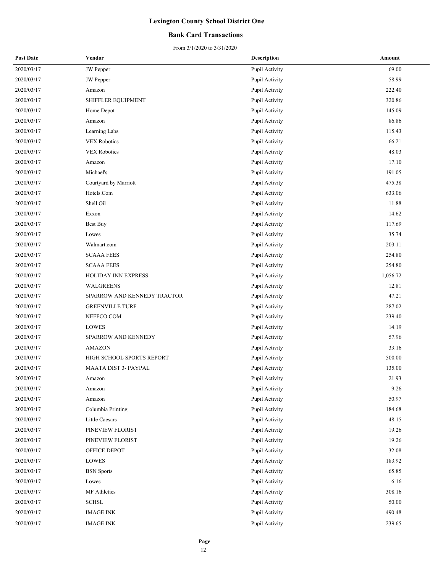### **Bank Card Transactions**

| <b>Post Date</b> | Vendor                      | <b>Description</b> | Amount   |
|------------------|-----------------------------|--------------------|----------|
| 2020/03/17       | JW Pepper                   | Pupil Activity     | 69.00    |
| 2020/03/17       | JW Pepper                   | Pupil Activity     | 58.99    |
| 2020/03/17       | Amazon                      | Pupil Activity     | 222.40   |
| 2020/03/17       | SHIFFLER EQUIPMENT          | Pupil Activity     | 320.86   |
| 2020/03/17       | Home Depot                  | Pupil Activity     | 145.09   |
| 2020/03/17       | Amazon                      | Pupil Activity     | 86.86    |
| 2020/03/17       | Learning Labs               | Pupil Activity     | 115.43   |
| 2020/03/17       | <b>VEX Robotics</b>         | Pupil Activity     | 66.21    |
| 2020/03/17       | <b>VEX Robotics</b>         | Pupil Activity     | 48.03    |
| 2020/03/17       | Amazon                      | Pupil Activity     | 17.10    |
| 2020/03/17       | Michael's                   | Pupil Activity     | 191.05   |
| 2020/03/17       | Courtyard by Marriott       | Pupil Activity     | 475.38   |
| 2020/03/17       | Hotels.Com                  | Pupil Activity     | 633.06   |
| 2020/03/17       | Shell Oil                   | Pupil Activity     | 11.88    |
| 2020/03/17       | Exxon                       | Pupil Activity     | 14.62    |
| 2020/03/17       | Best Buy                    | Pupil Activity     | 117.69   |
| 2020/03/17       | Lowes                       | Pupil Activity     | 35.74    |
| 2020/03/17       | Walmart.com                 | Pupil Activity     | 203.11   |
| 2020/03/17       | <b>SCAAA FEES</b>           | Pupil Activity     | 254.80   |
| 2020/03/17       | <b>SCAAA FEES</b>           | Pupil Activity     | 254.80   |
| 2020/03/17       | HOLIDAY INN EXPRESS         | Pupil Activity     | 1,056.72 |
| 2020/03/17       | WALGREENS                   | Pupil Activity     | 12.81    |
| 2020/03/17       | SPARROW AND KENNEDY TRACTOR | Pupil Activity     | 47.21    |
| 2020/03/17       | <b>GREENVILLE TURF</b>      | Pupil Activity     | 287.02   |
| 2020/03/17       | NEFFCO.COM                  | Pupil Activity     | 239.40   |
| 2020/03/17       | LOWES                       | Pupil Activity     | 14.19    |
| 2020/03/17       | SPARROW AND KENNEDY         | Pupil Activity     | 57.96    |
| 2020/03/17       | <b>AMAZON</b>               | Pupil Activity     | 33.16    |
| 2020/03/17       | HIGH SCHOOL SPORTS REPORT   | Pupil Activity     | 500.00   |
| 2020/03/17       | MAATA DIST 3- PAYPAL        | Pupil Activity     | 135.00   |
| 2020/03/17       | Amazon                      | Pupil Activity     | 21.93    |
| 2020/03/17       | Amazon                      | Pupil Activity     | 9.26     |
| 2020/03/17       | Amazon                      | Pupil Activity     | 50.97    |
| 2020/03/17       | Columbia Printing           | Pupil Activity     | 184.68   |
| 2020/03/17       | Little Caesars              | Pupil Activity     | 48.15    |
| 2020/03/17       | PINEVIEW FLORIST            | Pupil Activity     | 19.26    |
| 2020/03/17       | PINEVIEW FLORIST            | Pupil Activity     | 19.26    |
| 2020/03/17       | OFFICE DEPOT                | Pupil Activity     | 32.08    |
| 2020/03/17       | LOWES                       | Pupil Activity     | 183.92   |
| 2020/03/17       | <b>BSN</b> Sports           | Pupil Activity     | 65.85    |
| 2020/03/17       | Lowes                       | Pupil Activity     | 6.16     |
| 2020/03/17       | MF Athletics                | Pupil Activity     | 308.16   |
| 2020/03/17       | <b>SCHSL</b>                | Pupil Activity     | 50.00    |
| 2020/03/17       | <b>IMAGE INK</b>            | Pupil Activity     | 490.48   |
| 2020/03/17       | <b>IMAGE INK</b>            | Pupil Activity     | 239.65   |
|                  |                             |                    |          |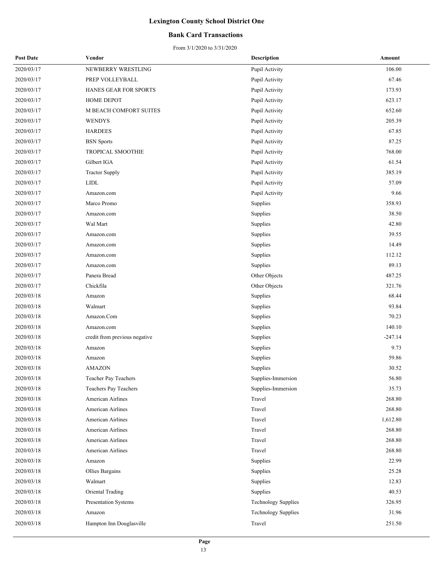### **Bank Card Transactions**

| <b>Post Date</b> | Vendor                        | <b>Description</b>         | Amount    |
|------------------|-------------------------------|----------------------------|-----------|
| 2020/03/17       | NEWBERRY WRESTLING            | Pupil Activity             | 106.00    |
| 2020/03/17       | PREP VOLLEYBALL               | Pupil Activity             | 67.46     |
| 2020/03/17       | HANES GEAR FOR SPORTS         | Pupil Activity             | 173.93    |
| 2020/03/17       | HOME DEPOT                    | Pupil Activity             | 623.17    |
| 2020/03/17       | M BEACH COMFORT SUITES        | Pupil Activity             | 652.60    |
| 2020/03/17       | <b>WENDYS</b>                 | Pupil Activity             | 205.39    |
| 2020/03/17       | <b>HARDEES</b>                | Pupil Activity             | 67.85     |
| 2020/03/17       | <b>BSN</b> Sports             | Pupil Activity             | 87.25     |
| 2020/03/17       | TROPICAL SMOOTHIE             | Pupil Activity             | 768.00    |
| 2020/03/17       | Gilbert IGA                   | Pupil Activity             | 61.54     |
| 2020/03/17       | <b>Tractor Supply</b>         | Pupil Activity             | 385.19    |
| 2020/03/17       | <b>LIDL</b>                   | Pupil Activity             | 57.09     |
| 2020/03/17       | Amazon.com                    | Pupil Activity             | 9.66      |
| 2020/03/17       | Marco Promo                   | Supplies                   | 358.93    |
| 2020/03/17       | Amazon.com                    | Supplies                   | 38.50     |
| 2020/03/17       | Wal Mart                      | Supplies                   | 42.80     |
| 2020/03/17       | Amazon.com                    | Supplies                   | 39.55     |
| 2020/03/17       | Amazon.com                    | Supplies                   | 14.49     |
| 2020/03/17       | Amazon.com                    | Supplies                   | 112.12    |
| 2020/03/17       | Amazon.com                    | Supplies                   | 89.13     |
| 2020/03/17       | Panera Bread                  | Other Objects              | 487.25    |
| 2020/03/17       | Chickfila                     | Other Objects              | 321.76    |
| 2020/03/18       | Amazon                        | Supplies                   | 68.44     |
| 2020/03/18       | Walmart                       | Supplies                   | 93.84     |
| 2020/03/18       | Amazon.Com                    | Supplies                   | 70.23     |
| 2020/03/18       | Amazon.com                    | Supplies                   | 140.10    |
| 2020/03/18       | credit from previous negative | Supplies                   | $-247.14$ |
| 2020/03/18       | Amazon                        | Supplies                   | 9.73      |
| 2020/03/18       | Amazon                        | Supplies                   | 59.86     |
| 2020/03/18       | <b>AMAZON</b>                 | Supplies                   | 30.52     |
| 2020/03/18       | Teacher Pay Teachers          | Supplies-Immersion         | 56.80     |
| 2020/03/18       | Teachers Pay Teachers         | Supplies-Immersion         | 35.73     |
| 2020/03/18       | American Airlines             | Travel                     | 268.80    |
| 2020/03/18       | American Airlines             | Travel                     | 268.80    |
| 2020/03/18       | American Airlines             | Travel                     | 1,612.80  |
| 2020/03/18       | American Airlines             | Travel                     | 268.80    |
| 2020/03/18       | American Airlines             | Travel                     | 268.80    |
| 2020/03/18       | American Airlines             | Travel                     | 268.80    |
| 2020/03/18       | Amazon                        | Supplies                   | 22.99     |
| 2020/03/18       | Ollies Bargains               | Supplies                   | 25.28     |
| 2020/03/18       | Walmart                       | Supplies                   | 12.83     |
| 2020/03/18       | Oriental Trading              | Supplies                   | 40.53     |
| 2020/03/18       | Presentation Systems          | Technology Supplies        | 326.95    |
| 2020/03/18       | Amazon                        | <b>Technology Supplies</b> | 31.96     |
| 2020/03/18       | Hampton Inn Douglasville      | Travel                     | 251.50    |
|                  |                               |                            |           |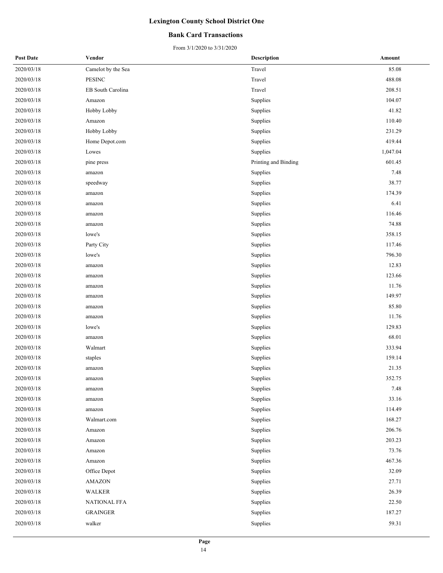### **Bank Card Transactions**

| <b>Post Date</b> | Vendor             | Description          | Amount   |
|------------------|--------------------|----------------------|----------|
| 2020/03/18       | Camelot by the Sea | Travel               | 85.08    |
| 2020/03/18       | <b>PESINC</b>      | Travel               | 488.08   |
| 2020/03/18       | EB South Carolina  | Travel               | 208.51   |
| 2020/03/18       | Amazon             | Supplies             | 104.07   |
| 2020/03/18       | Hobby Lobby        | Supplies             | 41.82    |
| 2020/03/18       | Amazon             | Supplies             | 110.40   |
| 2020/03/18       | Hobby Lobby        | Supplies             | 231.29   |
| 2020/03/18       | Home Depot.com     | Supplies             | 419.44   |
| 2020/03/18       | Lowes              | Supplies             | 1,047.04 |
| 2020/03/18       | pine press         | Printing and Binding | 601.45   |
| 2020/03/18       | amazon             | Supplies             | 7.48     |
| 2020/03/18       | speedway           | Supplies             | 38.77    |
| 2020/03/18       | amazon             | Supplies             | 174.39   |
| 2020/03/18       | amazon             | Supplies             | 6.41     |
| 2020/03/18       | amazon             | Supplies             | 116.46   |
| 2020/03/18       | amazon             | Supplies             | 74.88    |
| 2020/03/18       | lowe's             | Supplies             | 358.15   |
| 2020/03/18       | Party City         | Supplies             | 117.46   |
| 2020/03/18       | lowe's             | Supplies             | 796.30   |
| 2020/03/18       | amazon             | Supplies             | 12.83    |
| 2020/03/18       | amazon             | Supplies             | 123.66   |
| 2020/03/18       | amazon             | Supplies             | 11.76    |
| 2020/03/18       | amazon             | Supplies             | 149.97   |
| 2020/03/18       | amazon             | Supplies             | 85.80    |
| 2020/03/18       | amazon             | Supplies             | 11.76    |
| 2020/03/18       | lowe's             | Supplies             | 129.83   |
| 2020/03/18       | amazon             | Supplies             | 68.01    |
| 2020/03/18       | Walmart            | Supplies             | 333.94   |
| 2020/03/18       | staples            | Supplies             | 159.14   |
| 2020/03/18       | amazon             | Supplies             | 21.35    |
| 2020/03/18       | amazon             | Supplies             | 352.75   |
| 2020/03/18       | amazon             | Supplies             | 7.48     |
| 2020/03/18       | amazon             | Supplies             | 33.16    |
| 2020/03/18       | amazon             | Supplies             | 114.49   |
| 2020/03/18       | Walmart.com        | Supplies             | 168.27   |
| 2020/03/18       | Amazon             | Supplies             | 206.76   |
| 2020/03/18       | Amazon             | Supplies             | 203.23   |
| 2020/03/18       | Amazon             | Supplies             | 73.76    |
| 2020/03/18       | Amazon             | Supplies             | 467.36   |
| 2020/03/18       | Office Depot       | Supplies             | 32.09    |
| 2020/03/18       | AMAZON             | Supplies             | 27.71    |
| 2020/03/18       | WALKER             | Supplies             | 26.39    |
| 2020/03/18       | NATIONAL FFA       | Supplies             | 22.50    |
| 2020/03/18       | <b>GRAINGER</b>    | Supplies             | 187.27   |
| 2020/03/18       | walker             | Supplies             | 59.31    |
|                  |                    |                      |          |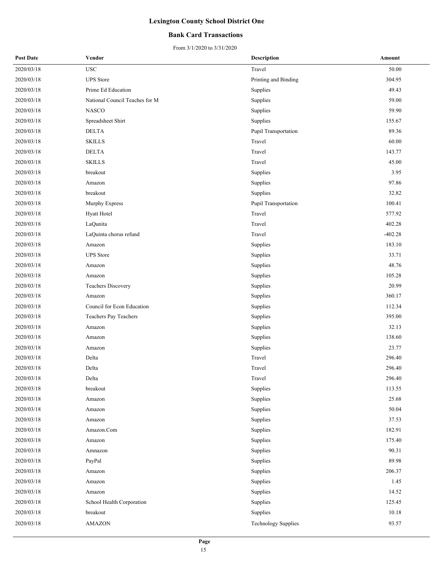### **Bank Card Transactions**

| <b>Post Date</b> | Vendor                         | Description                | Amount    |
|------------------|--------------------------------|----------------------------|-----------|
| 2020/03/18       | <b>USC</b>                     | Travel                     | 50.00     |
| 2020/03/18       | <b>UPS</b> Store               | Printing and Binding       | 304.95    |
| 2020/03/18       | Prime Ed Education             | Supplies                   | 49.43     |
| 2020/03/18       | National Council Teaches for M | Supplies                   | 59.00     |
| 2020/03/18       | <b>NASCO</b>                   | Supplies                   | 59.90     |
| 2020/03/18       | Spreadsheet Shirt              | Supplies                   | 155.67    |
| 2020/03/18       | <b>DELTA</b>                   | Pupil Transportation       | 89.36     |
| 2020/03/18       | <b>SKILLS</b>                  | Travel                     | 60.00     |
| 2020/03/18       | <b>DELTA</b>                   | Travel                     | 143.77    |
| 2020/03/18       | <b>SKILLS</b>                  | Travel                     | 45.00     |
| 2020/03/18       | breakout                       | Supplies                   | 3.95      |
| 2020/03/18       | Amazon                         | Supplies                   | 97.86     |
| 2020/03/18       | breakout                       | Supplies                   | 32.82     |
| 2020/03/18       | Murphy Express                 | Pupil Transportation       | 100.41    |
| 2020/03/18       | Hyatt Hotel                    | Travel                     | 577.92    |
| 2020/03/18       | LaQunita                       | Travel                     | 402.28    |
| 2020/03/18       | LaQuinta chorus refund         | Travel                     | $-402.28$ |
| 2020/03/18       | Amazon                         | Supplies                   | 183.10    |
| 2020/03/18       | <b>UPS</b> Store               | Supplies                   | 33.71     |
| 2020/03/18       | Amazon                         | Supplies                   | 48.76     |
| 2020/03/18       | Amazon                         | Supplies                   | 105.28    |
| 2020/03/18       | <b>Teachers Discovery</b>      | Supplies                   | 20.99     |
| 2020/03/18       | Amazon                         | Supplies                   | 360.17    |
| 2020/03/18       | Council for Econ Education     | Supplies                   | 112.34    |
| 2020/03/18       | Teachers Pay Teachers          | Supplies                   | 395.00    |
| 2020/03/18       | Amazon                         | Supplies                   | 32.13     |
| 2020/03/18       | Amazon                         | Supplies                   | 138.60    |
| 2020/03/18       | Amazon                         | Supplies                   | 23.77     |
| 2020/03/18       | Delta                          | Travel                     | 296.40    |
| 2020/03/18       | Delta                          | Travel                     | 296.40    |
| 2020/03/18       | Delta                          | Travel                     | 296.40    |
| 2020/03/18       | breakout                       | Supplies                   | 113.55    |
| 2020/03/18       | Amazon                         | Supplies                   | 25.68     |
| 2020/03/18       | Amazon                         | Supplies                   | 50.04     |
| 2020/03/18       | Amazon                         | Supplies                   | 37.53     |
| 2020/03/18       | Amazon.Com                     | Supplies                   | 182.91    |
| 2020/03/18       | Amazon                         | Supplies                   | 175.40    |
| 2020/03/18       | Amnazon                        | Supplies                   | 90.31     |
| 2020/03/18       | PayPal                         | Supplies                   | 89.98     |
| 2020/03/18       | Amazon                         | Supplies                   | 206.37    |
| 2020/03/18       | Amazon                         | Supplies                   | 1.45      |
| 2020/03/18       | Amazon                         | Supplies                   | 14.52     |
| 2020/03/18       | School Health Corporation      | Supplies                   | 125.45    |
| 2020/03/18       | breakout                       | Supplies                   | 10.18     |
| 2020/03/18       | <b>AMAZON</b>                  | <b>Technology Supplies</b> | 93.57     |
|                  |                                |                            |           |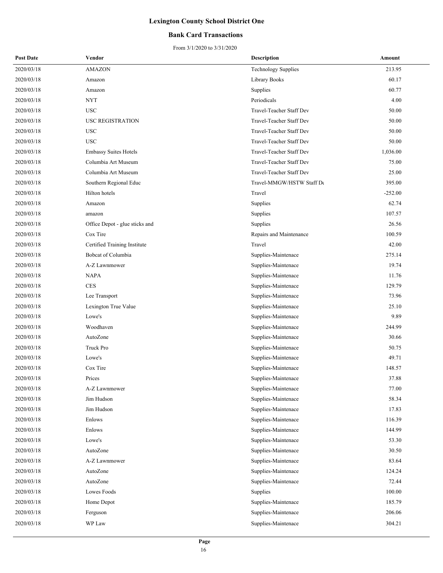### **Bank Card Transactions**

| <b>Post Date</b> | Vendor                         | <b>Description</b>         | Amount    |
|------------------|--------------------------------|----------------------------|-----------|
| 2020/03/18       | <b>AMAZON</b>                  | <b>Technology Supplies</b> | 213.95    |
| 2020/03/18       | Amazon                         | Library Books              | 60.17     |
| 2020/03/18       | Amazon                         | Supplies                   | 60.77     |
| 2020/03/18       | NYT                            | Periodicals                | 4.00      |
| 2020/03/18       | <b>USC</b>                     | Travel-Teacher Staff Dev   | 50.00     |
| 2020/03/18       | <b>USC REGISTRATION</b>        | Travel-Teacher Staff Dev   | 50.00     |
| 2020/03/18       | <b>USC</b>                     | Travel-Teacher Staff Dev   | 50.00     |
| 2020/03/18       | <b>USC</b>                     | Travel-Teacher Staff Dev   | 50.00     |
| 2020/03/18       | <b>Embassy Suites Hotels</b>   | Travel-Teacher Staff Dev   | 1,036.00  |
| 2020/03/18       | Columbia Art Museum            | Travel-Teacher Staff Dev   | 75.00     |
| 2020/03/18       | Columbia Art Museum            | Travel-Teacher Staff Dev   | 25.00     |
| 2020/03/18       | Southern Regional Educ         | Travel-MMGW/HSTW Staff De  | 395.00    |
| 2020/03/18       | Hilton hotels                  | Travel                     | $-252.00$ |
| 2020/03/18       | Amazon                         | Supplies                   | 62.74     |
| 2020/03/18       | amazon                         | Supplies                   | 107.57    |
| 2020/03/18       | Office Depot - glue sticks and | Supplies                   | 26.56     |
| 2020/03/18       | Cox Tire                       | Repairs and Maintenance    | 100.59    |
| 2020/03/18       | Certified Training Institute   | Travel                     | 42.00     |
| 2020/03/18       | Bobcat of Columbia             | Supplies-Maintenace        | 275.14    |
| 2020/03/18       | A-Z Lawnmower                  | Supplies-Maintenace        | 19.74     |
| 2020/03/18       | <b>NAPA</b>                    | Supplies-Maintenace        | 11.76     |
| 2020/03/18       | <b>CES</b>                     | Supplies-Maintenace        | 129.79    |
| 2020/03/18       | Lee Transport                  | Supplies-Maintenace        | 73.96     |
| 2020/03/18       | Lexington True Value           | Supplies-Maintenace        | 25.10     |
| 2020/03/18       | Lowe's                         | Supplies-Maintenace        | 9.89      |
| 2020/03/18       | Woodhaven                      | Supplies-Maintenace        | 244.99    |
| 2020/03/18       | AutoZone                       | Supplies-Maintenace        | 30.66     |
| 2020/03/18       | Truck Pro                      | Supplies-Maintenace        | 50.75     |
| 2020/03/18       | Lowe's                         | Supplies-Maintenace        | 49.71     |
| 2020/03/18       | Cox Tire                       | Supplies-Maintenace        | 148.57    |
| 2020/03/18       | Prices                         | Supplies-Maintenace        | 37.88     |
| 2020/03/18       | A-Z Lawnmower                  | Supplies-Maintenace        | 77.00     |
| 2020/03/18       | Jim Hudson                     | Supplies-Maintenace        | 58.34     |
| 2020/03/18       | Jim Hudson                     | Supplies-Maintenace        | 17.83     |
| 2020/03/18       | Enlows                         | Supplies-Maintenace        | 116.39    |
| 2020/03/18       | Enlows                         | Supplies-Maintenace        | 144.99    |
| 2020/03/18       | Lowe's                         | Supplies-Maintenace        | 53.30     |
| 2020/03/18       | AutoZone                       | Supplies-Maintenace        | 30.50     |
| 2020/03/18       | A-Z Lawnmower                  | Supplies-Maintenace        | 83.64     |
| 2020/03/18       | AutoZone                       | Supplies-Maintenace        | 124.24    |
| 2020/03/18       | AutoZone                       | Supplies-Maintenace        | 72.44     |
| 2020/03/18       | Lowes Foods                    | Supplies                   | 100.00    |
| 2020/03/18       | Home Depot                     | Supplies-Maintenace        | 185.79    |
| 2020/03/18       | Ferguson                       | Supplies-Maintenace        | 206.06    |
| 2020/03/18       | WP Law                         | Supplies-Maintenace        | 304.21    |
|                  |                                |                            |           |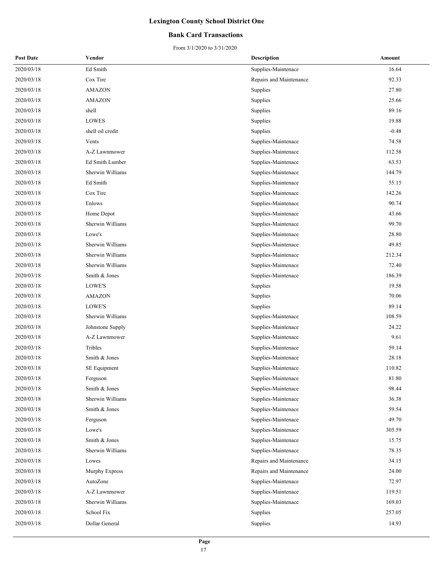### **Bank Card Transactions**

| <b>Post Date</b> | Vendor                  | <b>Description</b>      | Amount  |
|------------------|-------------------------|-------------------------|---------|
| 2020/03/18       | Ed Smith                | Supplies-Maintenace     | 16.64   |
| 2020/03/18       | Cox Tire                | Repairs and Maintenance | 92.33   |
| 2020/03/18       | <b>AMAZON</b>           | Supplies                | 27.80   |
| 2020/03/18       | <b>AMAZON</b>           | Supplies                | 25.66   |
| 2020/03/18       | shell                   | Supplies                | 89.16   |
| 2020/03/18       | <b>LOWES</b>            | Supplies                | 19.88   |
| 2020/03/18       | shell oil credit        | Supplies                | $-0.48$ |
| 2020/03/18       | Vents                   | Supplies-Maintenace     | 74.58   |
| 2020/03/18       | A-Z Lawnmower           | Supplies-Maintenace     | 112.58  |
| 2020/03/18       | Ed Smith Lumber         | Supplies-Maintenace     | 63.53   |
| 2020/03/18       | Sherwin Williams        | Supplies-Maintenace     | 144.79  |
| 2020/03/18       | Ed Smith                | Supplies-Maintenace     | 55.15   |
| 2020/03/18       | Cox Tire                | Supplies-Maintenace     | 142.26  |
| 2020/03/18       | Enlows                  | Supplies-Maintenace     | 90.74   |
| 2020/03/18       | Home Depot              | Supplies-Maintenace     | 43.66   |
| 2020/03/18       | Sherwin Williams        | Supplies-Maintenace     | 99.70   |
| 2020/03/18       | Lowe's                  | Supplies-Maintenace     | 28.80   |
| 2020/03/18       | Sherwin Williams        | Supplies-Maintenace     | 49.85   |
| 2020/03/18       | Sherwin Williams        | Supplies-Maintenace     | 212.34  |
| 2020/03/18       | Sherwin Williams        | Supplies-Maintenace     | 72.40   |
| 2020/03/18       | Smith & Jones           | Supplies-Maintenace     | 186.39  |
| 2020/03/18       | LOWE'S                  | Supplies                | 19.58   |
| 2020/03/18       | <b>AMAZON</b>           | Supplies                | 70.06   |
| 2020/03/18       | LOWE'S                  | Supplies                | 89.14   |
| 2020/03/18       | Sherwin Williams        | Supplies-Maintenace     | 108.59  |
| 2020/03/18       | Johnstone Supply        | Supplies-Maintenace     | 24.22   |
| 2020/03/18       | A-Z Lawnmower           | Supplies-Maintenace     | 9.61    |
| 2020/03/18       | Tribles                 | Supplies-Maintenace     | 59.14   |
| 2020/03/18       | Smith & Jones           | Supplies-Maintenace     | 28.18   |
| 2020/03/18       | SE Equipment            | Supplies-Maintenace     | 110.82  |
| 2020/03/18       | Ferguson                | Supplies-Maintenace     | 81.80   |
| 2020/03/18       | Smith & Jones           | Supplies-Maintenace     | 98.44   |
| 2020/03/18       | <b>Sherwin Williams</b> | Supplies-Maintenace     | 36.38   |
| 2020/03/18       | Smith & Jones           | Supplies-Maintenace     | 59.54   |
| 2020/03/18       | Ferguson                | Supplies-Maintenace     | 49.70   |
| 2020/03/18       | Lowe's                  | Supplies-Maintenace     | 305.59  |
| 2020/03/18       | Smith & Jones           | Supplies-Maintenace     | 15.75   |
| 2020/03/18       | Sherwin Williams        | Supplies-Maintenace     | 78.35   |
| 2020/03/18       | Lowes                   | Repairs and Maintenance | 34.15   |
| 2020/03/18       | Murphy Express          | Repairs and Maintenance | 24.00   |
| 2020/03/18       | AutoZone                | Supplies-Maintenace     | 72.97   |
| 2020/03/18       | A-Z Lawnmower           | Supplies-Maintenace     | 119.51  |
| 2020/03/18       | Sherwin Williams        | Supplies-Maintenace     | 169.03  |
| 2020/03/18       | School Fix              | Supplies                | 257.05  |
| 2020/03/18       | Dollar General          | Supplies                | 14.93   |
|                  |                         |                         |         |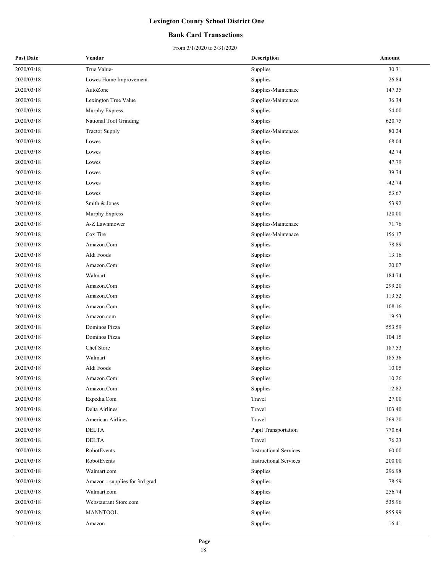### **Bank Card Transactions**

|            | Vendor                         | Description                   | Amount   |
|------------|--------------------------------|-------------------------------|----------|
| 2020/03/18 | True Value-                    | Supplies                      | 30.31    |
| 2020/03/18 | Lowes Home Improvement         | Supplies                      | 26.84    |
| 2020/03/18 | AutoZone                       | Supplies-Maintenace           | 147.35   |
| 2020/03/18 | Lexington True Value           | Supplies-Maintenace           | 36.34    |
| 2020/03/18 | Murphy Express                 | Supplies                      | 54.00    |
| 2020/03/18 | National Tool Grinding         | Supplies                      | 620.75   |
| 2020/03/18 | <b>Tractor Supply</b>          | Supplies-Maintenace           | 80.24    |
| 2020/03/18 | Lowes                          | Supplies                      | 68.04    |
| 2020/03/18 | Lowes                          | Supplies                      | 42.74    |
| 2020/03/18 | Lowes                          | Supplies                      | 47.79    |
| 2020/03/18 | Lowes                          | Supplies                      | 39.74    |
| 2020/03/18 | Lowes                          | Supplies                      | $-42.74$ |
| 2020/03/18 | Lowes                          | Supplies                      | 53.67    |
| 2020/03/18 | Smith & Jones                  | Supplies                      | 53.92    |
| 2020/03/18 | Murphy Express                 | Supplies                      | 120.00   |
| 2020/03/18 | A-Z Lawnmower                  | Supplies-Maintenace           | 71.76    |
| 2020/03/18 | Cox Tire                       | Supplies-Maintenace           | 156.17   |
| 2020/03/18 | Amazon.Com                     | Supplies                      | 78.89    |
| 2020/03/18 | Aldi Foods                     | Supplies                      | 13.16    |
| 2020/03/18 | Amazon.Com                     | Supplies                      | 20.07    |
| 2020/03/18 | Walmart                        | Supplies                      | 184.74   |
| 2020/03/18 | Amazon.Com                     | Supplies                      | 299.20   |
| 2020/03/18 | Amazon.Com                     | Supplies                      | 113.52   |
| 2020/03/18 | Amazon.Com                     | Supplies                      | 108.16   |
| 2020/03/18 | Amazon.com                     | Supplies                      | 19.53    |
| 2020/03/18 | Dominos Pizza                  | Supplies                      | 553.59   |
| 2020/03/18 | Dominos Pizza                  | Supplies                      | 104.15   |
| 2020/03/18 | Chef Store                     | Supplies                      | 187.53   |
| 2020/03/18 | Walmart                        | Supplies                      | 185.36   |
| 2020/03/18 | Aldi Foods                     | Supplies                      | 10.05    |
| 2020/03/18 | Amazon.Com                     | Supplies                      | 10.26    |
| 2020/03/18 | Amazon.Com                     | Supplies                      | 12.82    |
| 2020/03/18 | Expedia.Com                    | Travel                        | 27.00    |
| 2020/03/18 | Delta Airlines                 | Travel                        | 103.40   |
| 2020/03/18 | American Airlines              | Travel                        | 269.20   |
| 2020/03/18 | <b>DELTA</b>                   | Pupil Transportation          | 770.64   |
| 2020/03/18 | <b>DELTA</b>                   | Travel                        | 76.23    |
| 2020/03/18 | RobotEvents                    | <b>Instructional Services</b> | 60.00    |
| 2020/03/18 | RobotEvents                    | <b>Instructional Services</b> | 200.00   |
| 2020/03/18 | Walmart.com                    | Supplies                      | 296.98   |
| 2020/03/18 | Amazon - supplies for 3rd grad | Supplies                      | 78.59    |
| 2020/03/18 | Walmart.com                    | Supplies                      | 256.74   |
| 2020/03/18 | Webstaurant Store.com          | Supplies                      | 535.96   |
| 2020/03/18 | <b>MANNTOOL</b>                | Supplies                      | 855.99   |
| 2020/03/18 | Amazon                         | Supplies                      | 16.41    |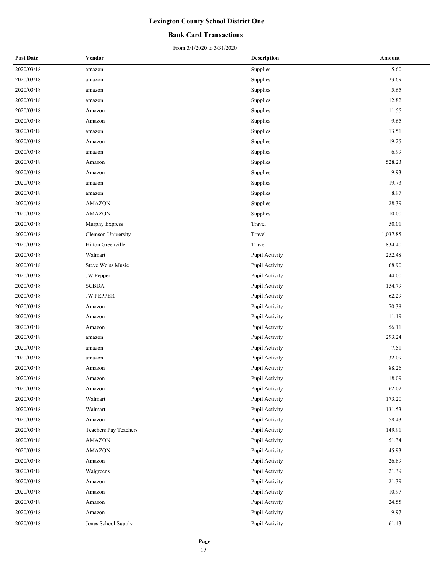### **Bank Card Transactions**

| <b>Post Date</b> | Vendor                   | <b>Description</b> | Amount   |
|------------------|--------------------------|--------------------|----------|
| 2020/03/18       | amazon                   | Supplies           | 5.60     |
| 2020/03/18       | amazon                   | Supplies           | 23.69    |
| 2020/03/18       | amazon                   | Supplies           | 5.65     |
| 2020/03/18       | amazon                   | Supplies           | 12.82    |
| 2020/03/18       | Amazon                   | Supplies           | 11.55    |
| 2020/03/18       | Amazon                   | Supplies           | 9.65     |
| 2020/03/18       | amazon                   | Supplies           | 13.51    |
| 2020/03/18       | Amazon                   | Supplies           | 19.25    |
| 2020/03/18       | amazon                   | Supplies           | 6.99     |
| 2020/03/18       | Amazon                   | Supplies           | 528.23   |
| 2020/03/18       | Amazon                   | Supplies           | 9.93     |
| 2020/03/18       | amazon                   | Supplies           | 19.73    |
| 2020/03/18       | amazon                   | Supplies           | 8.97     |
| 2020/03/18       | <b>AMAZON</b>            | Supplies           | 28.39    |
| 2020/03/18       | <b>AMAZON</b>            | Supplies           | 10.00    |
| 2020/03/18       | Murphy Express           | Travel             | 50.01    |
| 2020/03/18       | Clemson University       | Travel             | 1,037.85 |
| 2020/03/18       | Hilton Greenville        | Travel             | 834.40   |
| 2020/03/18       | Walmart                  | Pupil Activity     | 252.48   |
| 2020/03/18       | <b>Steve Weiss Music</b> | Pupil Activity     | 68.90    |
| 2020/03/18       | JW Pepper                | Pupil Activity     | 44.00    |
| 2020/03/18       | <b>SCBDA</b>             | Pupil Activity     | 154.79   |
| 2020/03/18       | <b>JW PEPPER</b>         | Pupil Activity     | 62.29    |
| 2020/03/18       | Amazon                   | Pupil Activity     | 70.38    |
| 2020/03/18       | Amazon                   | Pupil Activity     | 11.19    |
| 2020/03/18       | Amazon                   | Pupil Activity     | 56.11    |
| 2020/03/18       | amazon                   | Pupil Activity     | 293.24   |
| 2020/03/18       | amazon                   | Pupil Activity     | 7.51     |
| 2020/03/18       | amazon                   | Pupil Activity     | 32.09    |
| 2020/03/18       | Amazon                   | Pupil Activity     | 88.26    |
| 2020/03/18       | Amazon                   | Pupil Activity     | 18.09    |
| 2020/03/18       | Amazon                   | Pupil Activity     | 62.02    |
| 2020/03/18       | Walmart                  | Pupil Activity     | 173.20   |
| 2020/03/18       | Walmart                  | Pupil Activity     | 131.53   |
| 2020/03/18       | Amazon                   | Pupil Activity     | 58.43    |
| 2020/03/18       | Teachers Pay Teachers    | Pupil Activity     | 149.91   |
| 2020/03/18       | AMAZON                   | Pupil Activity     | 51.34    |
| 2020/03/18       | <b>AMAZON</b>            | Pupil Activity     | 45.93    |
| 2020/03/18       | Amazon                   | Pupil Activity     | 26.89    |
| 2020/03/18       | Walgreens                | Pupil Activity     | 21.39    |
| 2020/03/18       | Amazon                   | Pupil Activity     | 21.39    |
| 2020/03/18       | Amazon                   | Pupil Activity     | 10.97    |
| 2020/03/18       | Amazon                   | Pupil Activity     | 24.55    |
| 2020/03/18       | Amazon                   | Pupil Activity     | 9.97     |
| 2020/03/18       | Jones School Supply      | Pupil Activity     | 61.43    |
|                  |                          |                    |          |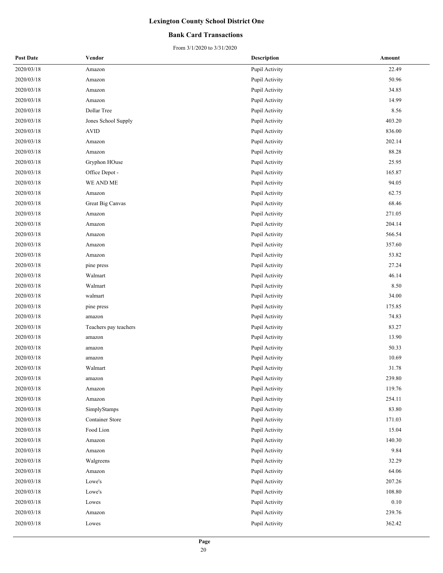### **Bank Card Transactions**

| <b>Post Date</b> | Vendor                 | <b>Description</b> | Amount |
|------------------|------------------------|--------------------|--------|
| 2020/03/18       | Amazon                 | Pupil Activity     | 22.49  |
| 2020/03/18       | Amazon                 | Pupil Activity     | 50.96  |
| 2020/03/18       | Amazon                 | Pupil Activity     | 34.85  |
| 2020/03/18       | Amazon                 | Pupil Activity     | 14.99  |
| 2020/03/18       | Dollar Tree            | Pupil Activity     | 8.56   |
| 2020/03/18       | Jones School Supply    | Pupil Activity     | 403.20 |
| 2020/03/18       | <b>AVID</b>            | Pupil Activity     | 836.00 |
| 2020/03/18       | Amazon                 | Pupil Activity     | 202.14 |
| 2020/03/18       | Amazon                 | Pupil Activity     | 88.28  |
| 2020/03/18       | Gryphon HOuse          | Pupil Activity     | 25.95  |
| 2020/03/18       | Office Depot -         | Pupil Activity     | 165.87 |
| 2020/03/18       | WE AND ME              | Pupil Activity     | 94.05  |
| 2020/03/18       | Amazon                 | Pupil Activity     | 62.75  |
| 2020/03/18       | Great Big Canvas       | Pupil Activity     | 68.46  |
| 2020/03/18       | Amazon                 | Pupil Activity     | 271.05 |
| 2020/03/18       | Amazon                 | Pupil Activity     | 204.14 |
| 2020/03/18       | Amazon                 | Pupil Activity     | 566.54 |
| 2020/03/18       | Amazon                 | Pupil Activity     | 357.60 |
| 2020/03/18       | Amazon                 | Pupil Activity     | 53.82  |
| 2020/03/18       | pine press             | Pupil Activity     | 27.24  |
| 2020/03/18       | Walmart                | Pupil Activity     | 46.14  |
| 2020/03/18       | Walmart                | Pupil Activity     | 8.50   |
| 2020/03/18       | walmart                | Pupil Activity     | 34.00  |
| 2020/03/18       | pine press             | Pupil Activity     | 175.85 |
| 2020/03/18       | amazon                 | Pupil Activity     | 74.83  |
| 2020/03/18       | Teachers pay teachers  | Pupil Activity     | 83.27  |
| 2020/03/18       | amazon                 | Pupil Activity     | 13.90  |
| 2020/03/18       | amazon                 | Pupil Activity     | 50.33  |
| 2020/03/18       | amazon                 | Pupil Activity     | 10.69  |
| 2020/03/18       | Walmart                | Pupil Activity     | 31.78  |
| 2020/03/18       | amazon                 | Pupil Activity     | 239.80 |
| 2020/03/18       | Amazon                 | Pupil Activity     | 119.76 |
| 2020/03/18       | Amazon                 | Pupil Activity     | 254.11 |
| 2020/03/18       | SimplyStamps           | Pupil Activity     | 83.80  |
| 2020/03/18       | <b>Container Store</b> | Pupil Activity     | 171.03 |
| 2020/03/18       | Food Lion              | Pupil Activity     | 15.04  |
| 2020/03/18       | Amazon                 | Pupil Activity     | 140.30 |
| 2020/03/18       | Amazon                 | Pupil Activity     | 9.84   |
| 2020/03/18       | Walgreens              | Pupil Activity     | 32.29  |
| 2020/03/18       | Amazon                 | Pupil Activity     | 64.06  |
| 2020/03/18       | Lowe's                 | Pupil Activity     | 207.26 |
| 2020/03/18       | Lowe's                 | Pupil Activity     | 108.80 |
| 2020/03/18       | Lowes                  | Pupil Activity     | 0.10   |
| 2020/03/18       | Amazon                 | Pupil Activity     | 239.76 |
| 2020/03/18       | Lowes                  | Pupil Activity     | 362.42 |
|                  |                        |                    |        |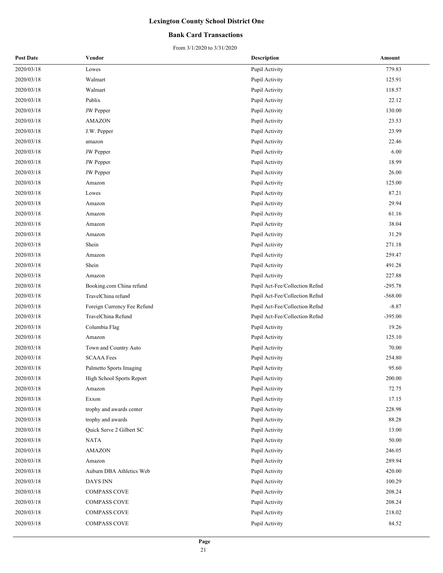### **Bank Card Transactions**

| <b>Post Date</b> | Vendor                      | <b>Description</b>             | Amount    |
|------------------|-----------------------------|--------------------------------|-----------|
| 2020/03/18       | Lowes                       | Pupil Activity                 | 779.83    |
| 2020/03/18       | Walmart                     | Pupil Activity                 | 125.91    |
| 2020/03/18       | Walmart                     | Pupil Activity                 | 118.57    |
| 2020/03/18       | Publix                      | Pupil Activity                 | 22.12     |
| 2020/03/18       | JW Pepper                   | Pupil Activity                 | 130.00    |
| 2020/03/18       | <b>AMAZON</b>               | Pupil Activity                 | 23.53     |
| 2020/03/18       | J.W. Pepper                 | Pupil Activity                 | 23.99     |
| 2020/03/18       | amazon                      | Pupil Activity                 | 22.46     |
| 2020/03/18       | JW Pepper                   | Pupil Activity                 | 6.00      |
| 2020/03/18       | JW Pepper                   | Pupil Activity                 | 18.99     |
| 2020/03/18       | JW Pepper                   | Pupil Activity                 | 26.00     |
| 2020/03/18       | Amazon                      | Pupil Activity                 | 125.00    |
| 2020/03/18       | Lowes                       | Pupil Activity                 | 87.21     |
| 2020/03/18       | Amazon                      | Pupil Activity                 | 29.94     |
| 2020/03/18       | Amazon                      | Pupil Activity                 | 61.16     |
| 2020/03/18       | Amazon                      | Pupil Activity                 | 38.04     |
| 2020/03/18       | Amazon                      | Pupil Activity                 | 31.29     |
| 2020/03/18       | Shein                       | Pupil Activity                 | 271.18    |
| 2020/03/18       | Amazon                      | Pupil Activity                 | 259.47    |
| 2020/03/18       | Shein                       | Pupil Activity                 | 491.28    |
| 2020/03/18       | Amazon                      | Pupil Activity                 | 227.88    |
| 2020/03/18       | Booking.com China refund    | Pupil Act-Fee/Collection Refnd | $-295.78$ |
| 2020/03/18       | TravelChina refund          | Pupil Act-Fee/Collection Refnd | $-568.00$ |
| 2020/03/18       | Foreign Currency Fee Refund | Pupil Act-Fee/Collection Refnd | $-8.87$   |
| 2020/03/18       | TravelChina Refund          | Pupil Act-Fee/Collection Refnd | $-395.00$ |
| 2020/03/18       | Columbia Flag               | Pupil Activity                 | 19.26     |
| 2020/03/18       | Amazon                      | Pupil Activity                 | 125.10    |
| 2020/03/18       | Town and Country Auto       | Pupil Activity                 | 70.00     |
| 2020/03/18       | <b>SCAAA</b> Fees           | Pupil Activity                 | 254.80    |
| 2020/03/18       | Palmetto Sports Imaging     | Pupil Activity                 | 95.60     |
| 2020/03/18       | High School Sports Report   | Pupil Activity                 | 200.00    |
| 2020/03/18       | Amazon                      | Pupil Activity                 | 72.75     |
| 2020/03/18       | Exxon                       | Pupil Activity                 | 17.15     |
| 2020/03/18       | trophy and awards center    | Pupil Activity                 | 228.98    |
| 2020/03/18       | trophy and awards           | Pupil Activity                 | 88.28     |
| 2020/03/18       | Quick Serve 2 Gilbert SC    | Pupil Activity                 | 13.00     |
| 2020/03/18       | NATA                        | Pupil Activity                 | 50.00     |
| 2020/03/18       | <b>AMAZON</b>               | Pupil Activity                 | 246.05    |
| 2020/03/18       | Amazon                      | Pupil Activity                 | 289.94    |
| 2020/03/18       | Auburn DBA Athletics Web    | Pupil Activity                 | 420.00    |
| 2020/03/18       | DAYS INN                    | Pupil Activity                 | 100.29    |
| 2020/03/18       | <b>COMPASS COVE</b>         | Pupil Activity                 | 208.24    |
| 2020/03/18       | <b>COMPASS COVE</b>         | Pupil Activity                 | 208.24    |
| 2020/03/18       | COMPASS COVE                | Pupil Activity                 | 218.02    |
| 2020/03/18       | <b>COMPASS COVE</b>         | Pupil Activity                 | 84.52     |
|                  |                             |                                |           |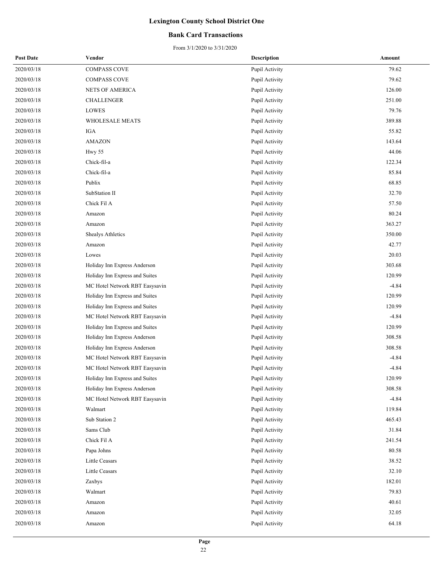### **Bank Card Transactions**

| <b>Post Date</b> | Vendor                         | <b>Description</b> | Amount  |
|------------------|--------------------------------|--------------------|---------|
| 2020/03/18       | COMPASS COVE                   | Pupil Activity     | 79.62   |
| 2020/03/18       | <b>COMPASS COVE</b>            | Pupil Activity     | 79.62   |
| 2020/03/18       | <b>NETS OF AMERICA</b>         | Pupil Activity     | 126.00  |
| 2020/03/18       | <b>CHALLENGER</b>              | Pupil Activity     | 251.00  |
| 2020/03/18       | LOWES                          | Pupil Activity     | 79.76   |
| 2020/03/18       | WHOLESALE MEATS                | Pupil Activity     | 389.88  |
| 2020/03/18       | IGA                            | Pupil Activity     | 55.82   |
| 2020/03/18       | <b>AMAZON</b>                  | Pupil Activity     | 143.64  |
| 2020/03/18       | Hwy 55                         | Pupil Activity     | 44.06   |
| 2020/03/18       | Chick-fil-a                    | Pupil Activity     | 122.34  |
| 2020/03/18       | Chick-fil-a                    | Pupil Activity     | 85.84   |
| 2020/03/18       | Publix                         | Pupil Activity     | 68.85   |
| 2020/03/18       | SubStation II                  | Pupil Activity     | 32.70   |
| 2020/03/18       | Chick Fil A                    | Pupil Activity     | 57.50   |
| 2020/03/18       | Amazon                         | Pupil Activity     | 80.24   |
| 2020/03/18       | Amazon                         | Pupil Activity     | 363.27  |
| 2020/03/18       | Shealys Athletics              | Pupil Activity     | 350.00  |
| 2020/03/18       | Amazon                         | Pupil Activity     | 42.77   |
| 2020/03/18       | Lowes                          | Pupil Activity     | 20.03   |
| 2020/03/18       | Holiday Inn Express Anderson   | Pupil Activity     | 303.68  |
| 2020/03/18       | Holiday Inn Express and Suites | Pupil Activity     | 120.99  |
| 2020/03/18       | MC Hotel Network RBT Easysavin | Pupil Activity     | $-4.84$ |
| 2020/03/18       | Holiday Inn Express and Suites | Pupil Activity     | 120.99  |
| 2020/03/18       | Holiday Inn Express and Suites | Pupil Activity     | 120.99  |
| 2020/03/18       | MC Hotel Network RBT Easysavin | Pupil Activity     | $-4.84$ |
| 2020/03/18       | Holiday Inn Express and Suites | Pupil Activity     | 120.99  |
| 2020/03/18       | Holiday Inn Express Anderson   | Pupil Activity     | 308.58  |
| 2020/03/18       | Holiday Inn Express Anderson   | Pupil Activity     | 308.58  |
| 2020/03/18       | MC Hotel Network RBT Easysavin | Pupil Activity     | $-4.84$ |
| 2020/03/18       | MC Hotel Network RBT Easysavin | Pupil Activity     | $-4.84$ |
| 2020/03/18       | Holiday Inn Express and Suites | Pupil Activity     | 120.99  |
| 2020/03/18       | Holiday Inn Express Anderson   | Pupil Activity     | 308.58  |
| 2020/03/18       | MC Hotel Network RBT Easysavin | Pupil Activity     | $-4.84$ |
| 2020/03/18       | Walmart                        | Pupil Activity     | 119.84  |
| 2020/03/18       | Sub Station 2                  | Pupil Activity     | 465.43  |
| 2020/03/18       | Sams Club                      | Pupil Activity     | 31.84   |
| 2020/03/18       | Chick Fil A                    | Pupil Activity     | 241.54  |
| 2020/03/18       | Papa Johns                     | Pupil Activity     | 80.58   |
| 2020/03/18       | Little Ceasars                 | Pupil Activity     | 38.52   |
| 2020/03/18       | Little Ceasars                 | Pupil Activity     | 32.10   |
| 2020/03/18       | Zaxbys                         | Pupil Activity     | 182.01  |
| 2020/03/18       | Walmart                        | Pupil Activity     | 79.83   |
| 2020/03/18       | Amazon                         | Pupil Activity     | 40.61   |
| 2020/03/18       | Amazon                         | Pupil Activity     | 32.05   |
| 2020/03/18       | Amazon                         | Pupil Activity     | 64.18   |
|                  |                                |                    |         |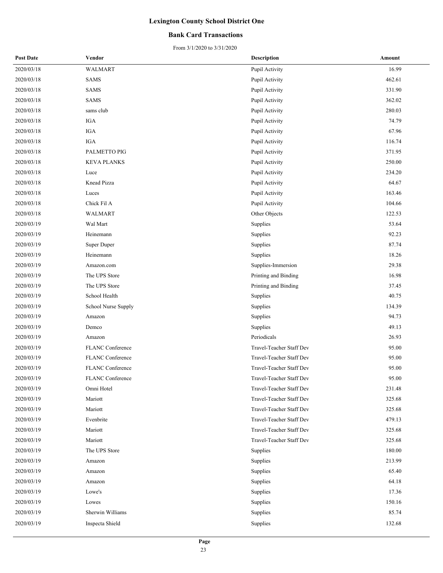### **Bank Card Transactions**

| <b>Post Date</b> | Vendor                  | <b>Description</b>       | Amount |
|------------------|-------------------------|--------------------------|--------|
| 2020/03/18       | <b>WALMART</b>          | Pupil Activity           | 16.99  |
| 2020/03/18       | SAMS                    | Pupil Activity           | 462.61 |
| 2020/03/18       | <b>SAMS</b>             | Pupil Activity           | 331.90 |
| 2020/03/18       | SAMS                    | Pupil Activity           | 362.02 |
| 2020/03/18       | sams club               | Pupil Activity           | 280.03 |
| 2020/03/18       | IGA                     | Pupil Activity           | 74.79  |
| 2020/03/18       | IGA                     | Pupil Activity           | 67.96  |
| 2020/03/18       | IGA                     | Pupil Activity           | 116.74 |
| 2020/03/18       | PALMETTO PIG            | Pupil Activity           | 371.95 |
| 2020/03/18       | <b>KEVA PLANKS</b>      | Pupil Activity           | 250.00 |
| 2020/03/18       | Luce                    | Pupil Activity           | 234.20 |
| 2020/03/18       | Knead Pizza             | Pupil Activity           | 64.67  |
| 2020/03/18       | Luces                   | Pupil Activity           | 163.46 |
| 2020/03/18       | Chick Fil A             | Pupil Activity           | 104.66 |
| 2020/03/18       | <b>WALMART</b>          | Other Objects            | 122.53 |
| 2020/03/19       | Wal Mart                | Supplies                 | 53.64  |
| 2020/03/19       | Heinemann               | Supplies                 | 92.23  |
| 2020/03/19       | Super Duper             | Supplies                 | 87.74  |
| 2020/03/19       | Heinemann               | Supplies                 | 18.26  |
| 2020/03/19       | Amazon.com              | Supplies-Immersion       | 29.38  |
| 2020/03/19       | The UPS Store           | Printing and Binding     | 16.98  |
| 2020/03/19       | The UPS Store           | Printing and Binding     | 37.45  |
| 2020/03/19       | School Health           | Supplies                 | 40.75  |
| 2020/03/19       | School Nurse Supply     | Supplies                 | 134.39 |
| 2020/03/19       | Amazon                  | Supplies                 | 94.73  |
| 2020/03/19       | Demco                   | Supplies                 | 49.13  |
| 2020/03/19       | Amazon                  | Periodicals              | 26.93  |
| 2020/03/19       | <b>FLANC</b> Conference | Travel-Teacher Staff Dev | 95.00  |
| 2020/03/19       | FLANC Conference        | Travel-Teacher Staff Dev | 95.00  |
| 2020/03/19       | FLANC Conference        | Travel-Teacher Staff Dev | 95.00  |
| 2020/03/19       | FLANC Conference        | Travel-Teacher Staff Dev | 95.00  |
| 2020/03/19       | Omni Hotel              | Travel-Teacher Staff Dev | 231.48 |
| 2020/03/19       | Mariott                 | Travel-Teacher Staff Dev | 325.68 |
| 2020/03/19       | Mariott                 | Travel-Teacher Staff Dev | 325.68 |
| 2020/03/19       | Evenbrite               | Travel-Teacher Staff Dev | 479.13 |
| 2020/03/19       | Mariott                 | Travel-Teacher Staff Dev | 325.68 |
| 2020/03/19       | Mariott                 | Travel-Teacher Staff Dev | 325.68 |
| 2020/03/19       | The UPS Store           | Supplies                 | 180.00 |
| 2020/03/19       | Amazon                  | Supplies                 | 213.99 |
| 2020/03/19       | Amazon                  | Supplies                 | 65.40  |
| 2020/03/19       | Amazon                  | Supplies                 | 64.18  |
| 2020/03/19       | Lowe's                  | Supplies                 | 17.36  |
| 2020/03/19       | Lowes                   | Supplies                 | 150.16 |
| 2020/03/19       | Sherwin Williams        | Supplies                 | 85.74  |
| 2020/03/19       | Inspecta Shield         | Supplies                 | 132.68 |
|                  |                         |                          |        |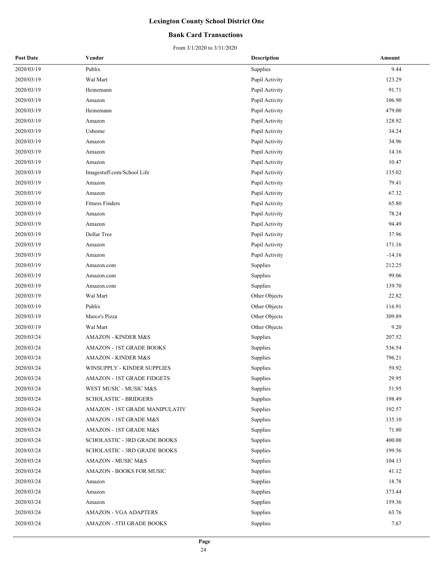### **Bank Card Transactions**

| <b>Post Date</b> | Vendor                              | <b>Description</b> | Amount   |
|------------------|-------------------------------------|--------------------|----------|
| 2020/03/19       | Publix                              | Supplies           | 9.44     |
| 2020/03/19       | Wal Mart                            | Pupil Activity     | 123.29   |
| 2020/03/19       | Heinemann                           | Pupil Activity     | 91.71    |
| 2020/03/19       | Amazon                              | Pupil Activity     | 106.90   |
| 2020/03/19       | Heinemann                           | Pupil Activity     | 479.00   |
| 2020/03/19       | Amazon                              | Pupil Activity     | 128.92   |
| 2020/03/19       | Usborne                             | Pupil Activity     | 34.24    |
| 2020/03/19       | Amazon                              | Pupil Activity     | 34.96    |
| 2020/03/19       | Amazon                              | Pupil Activity     | 14.16    |
| 2020/03/19       | Amazon                              | Pupil Activity     | 10.47    |
| 2020/03/19       | Imagestuff.com/School Life          | Pupil Activity     | 135.02   |
| 2020/03/19       | Amazon                              | Pupil Activity     | 79.41    |
| 2020/03/19       | Amazon                              | Pupil Activity     | 67.32    |
| 2020/03/19       | <b>Fitness Finders</b>              | Pupil Activity     | 65.80    |
| 2020/03/19       | Amazon                              | Pupil Activity     | 78.24    |
| 2020/03/19       | Amazon                              | Pupil Activity     | 94.49    |
| 2020/03/19       | Dollar Tree                         | Pupil Activity     | 37.96    |
| 2020/03/19       | Amazon                              | Pupil Activity     | 171.16   |
| 2020/03/19       | Amazon                              | Pupil Activity     | $-14.16$ |
| 2020/03/19       | Amazon.com                          | Supplies           | 212.25   |
| 2020/03/19       | Amazon.com                          | Supplies           | 99.06    |
| 2020/03/19       | Amazon.com                          | Supplies           | 139.70   |
| 2020/03/19       | Wal Mart                            | Other Objects      | 22.82    |
| 2020/03/19       | Publix                              | Other Objects      | 116.91   |
| 2020/03/19       | Marco's Pizza                       | Other Objects      | 309.89   |
| 2020/03/19       | Wal Mart                            | Other Objects      | 9.20     |
| 2020/03/24       | <b>AMAZON - KINDER M&amp;S</b>      | Supplies           | 207.52   |
| 2020/03/24       | <b>AMAZON - 1ST GRADE BOOKS</b>     | Supplies           | 536.54   |
| 2020/03/24       | <b>AMAZON - KINDER M&amp;S</b>      | Supplies           | 796.21   |
| 2020/03/24       | WINSUPPLY - KINDER SUPPLIES         | Supplies           | 59.92    |
| 2020/03/24       | AMAZON - 1ST GRADE FIDGETS          | Supplies           | 29.95    |
| 2020/03/24       | WEST MUSIC - MUSIC M&S              | Supplies           | 51.95    |
| 2020/03/24       | <b>SCHOLASTIC - BRIDGERS</b>        | Supplies           | 198.49   |
| 2020/03/24       | AMAZON - 1ST GRADE MANIPULATIV      | Supplies           | 192.57   |
| 2020/03/24       | AMAZON - 1ST GRADE M&S              | Supplies           | 135.10   |
| 2020/03/24       | AMAZON - 1ST GRADE M&S              | Supplies           | 71.80    |
| 2020/03/24       | <b>SCHOLASTIC - 3RD GRADE BOOKS</b> | Supplies           | 400.00   |
| 2020/03/24       | <b>SCHOLASTIC - 3RD GRADE BOOKS</b> | Supplies           | 199.56   |
| 2020/03/24       | AMAZON - MUSIC M&S                  | Supplies           | 104.13   |
| 2020/03/24       | AMAZON - BOOKS FOR MUSIC            | Supplies           | 41.12    |
| 2020/03/24       | Amazon                              | Supplies           | 18.78    |
| 2020/03/24       | Amazon                              | Supplies           | 373.44   |
| 2020/03/24       | Amazon                              | Supplies           | 159.36   |
| 2020/03/24       | <b>AMAZON - VGA ADAPTERS</b>        | Supplies           | 63.76    |
| 2020/03/24       | <b>AMAZON - 5TH GRADE BOOKS</b>     | Supplies           | 7.67     |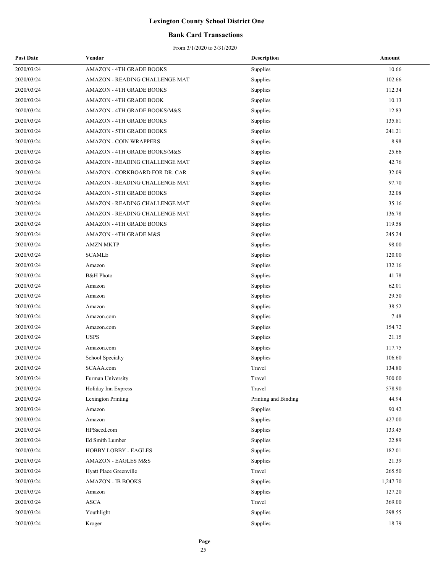### **Bank Card Transactions**

| <b>Post Date</b> | Vendor                          | <b>Description</b>   | Amount   |
|------------------|---------------------------------|----------------------|----------|
| 2020/03/24       | <b>AMAZON - 4TH GRADE BOOKS</b> | Supplies             | 10.66    |
| 2020/03/24       | AMAZON - READING CHALLENGE MAT  | Supplies             | 102.66   |
| 2020/03/24       | <b>AMAZON - 4TH GRADE BOOKS</b> | Supplies             | 112.34   |
| 2020/03/24       | AMAZON - 4TH GRADE BOOK         | Supplies             | 10.13    |
| 2020/03/24       | AMAZON - 4TH GRADE BOOKS/M&S    | Supplies             | 12.83    |
| 2020/03/24       | <b>AMAZON - 4TH GRADE BOOKS</b> | Supplies             | 135.81   |
| 2020/03/24       | <b>AMAZON - 5TH GRADE BOOKS</b> | Supplies             | 241.21   |
| 2020/03/24       | <b>AMAZON - COIN WRAPPERS</b>   | Supplies             | 8.98     |
| 2020/03/24       | AMAZON - 4TH GRADE BOOKS/M&S    | Supplies             | 25.66    |
| 2020/03/24       | AMAZON - READING CHALLENGE MAT  | Supplies             | 42.76    |
| 2020/03/24       | AMAZON - CORKBOARD FOR DR. CAR  | Supplies             | 32.09    |
| 2020/03/24       | AMAZON - READING CHALLENGE MAT  | Supplies             | 97.70    |
| 2020/03/24       | AMAZON - 5TH GRADE BOOKS        | Supplies             | 32.08    |
| 2020/03/24       | AMAZON - READING CHALLENGE MAT  | Supplies             | 35.16    |
| 2020/03/24       | AMAZON - READING CHALLENGE MAT  | Supplies             | 136.78   |
| 2020/03/24       | <b>AMAZON - 4TH GRADE BOOKS</b> | Supplies             | 119.58   |
| 2020/03/24       | AMAZON - 4TH GRADE M&S          | Supplies             | 245.24   |
| 2020/03/24       | <b>AMZN MKTP</b>                | Supplies             | 98.00    |
| 2020/03/24       | <b>SCAMLE</b>                   | Supplies             | 120.00   |
| 2020/03/24       | Amazon                          | Supplies             | 132.16   |
| 2020/03/24       | <b>B&amp;H</b> Photo            | Supplies             | 41.78    |
| 2020/03/24       | Amazon                          | Supplies             | 62.01    |
| 2020/03/24       | Amazon                          | Supplies             | 29.50    |
| 2020/03/24       | Amazon                          | Supplies             | 38.52    |
| 2020/03/24       | Amazon.com                      | Supplies             | 7.48     |
| 2020/03/24       | Amazon.com                      | Supplies             | 154.72   |
| 2020/03/24       | <b>USPS</b>                     | Supplies             | 21.15    |
| 2020/03/24       | Amazon.com                      | Supplies             | 117.75   |
| 2020/03/24       | School Specialty                | Supplies             | 106.60   |
| 2020/03/24       | SCAAA.com                       | Travel               | 134.80   |
| 2020/03/24       | Furman University               | Travel               | 300.00   |
| 2020/03/24       | Holiday Inn Express             | Travel               | 578.90   |
| 2020/03/24       | Lexington Printing              | Printing and Binding | 44.94    |
| 2020/03/24       | Amazon                          | Supplies             | 90.42    |
| 2020/03/24       | Amazon                          | Supplies             | 427.00   |
| 2020/03/24       | HPSseed.com                     | Supplies             | 133.45   |
| 2020/03/24       | Ed Smith Lumber                 | Supplies             | 22.89    |
| 2020/03/24       | HOBBY LOBBY - EAGLES            | Supplies             | 182.01   |
| 2020/03/24       | AMAZON - EAGLES M&S             | Supplies             | 21.39    |
| 2020/03/24       | Hyatt Place Greenville          | Travel               | 265.50   |
| 2020/03/24       | <b>AMAZON - IB BOOKS</b>        | Supplies             | 1,247.70 |
| 2020/03/24       | Amazon                          | Supplies             | 127.20   |
| 2020/03/24       | <b>ASCA</b>                     | Travel               | 369.00   |
| 2020/03/24       | Youthlight                      | Supplies             | 298.55   |
| 2020/03/24       | Kroger                          | Supplies             | 18.79    |
|                  |                                 |                      |          |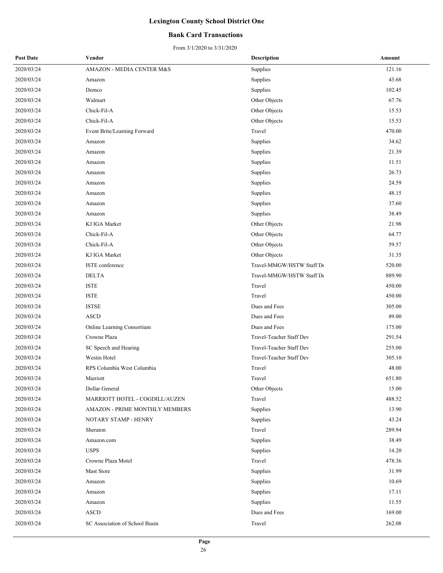### **Bank Card Transactions**

| <b>Post Date</b> | Vendor                         | <b>Description</b>        | Amount |
|------------------|--------------------------------|---------------------------|--------|
| 2020/03/24       | AMAZON - MEDIA CENTER M&S      | Supplies                  | 121.16 |
| 2020/03/24       | Amazon                         | Supplies                  | 43.68  |
| 2020/03/24       | Demco                          | Supplies                  | 102.45 |
| 2020/03/24       | Walmart                        | Other Objects             | 67.76  |
| 2020/03/24       | Chick-Fil-A                    | Other Objects             | 15.53  |
| 2020/03/24       | Chick-Fil-A                    | Other Objects             | 15.53  |
| 2020/03/24       | Event Brite/Learning Forward   | Travel                    | 470.00 |
| 2020/03/24       | Amazon                         | Supplies                  | 34.62  |
| 2020/03/24       | Amazon                         | Supplies                  | 21.39  |
| 2020/03/24       | Amazon                         | Supplies                  | 11.51  |
| 2020/03/24       | Amazon                         | Supplies                  | 26.73  |
| 2020/03/24       | Amazon                         | Supplies                  | 24.59  |
| 2020/03/24       | Amazon                         | Supplies                  | 48.15  |
| 2020/03/24       | Amazon                         | Supplies                  | 37.60  |
| 2020/03/24       | Amazon                         | Supplies                  | 38.49  |
| 2020/03/24       | KJ IGA Market                  | Other Objects             | 21.98  |
| 2020/03/24       | Chick-Fil-A                    | Other Objects             | 64.77  |
| 2020/03/24       | Chick-Fil-A                    | Other Objects             | 59.57  |
| 2020/03/24       | KJ IGA Market                  | Other Objects             | 31.35  |
| 2020/03/24       | ISTE conference                | Travel-MMGW/HSTW Staff De | 520.00 |
| 2020/03/24       | <b>DELTA</b>                   | Travel-MMGW/HSTW Staff De | 889.90 |
| 2020/03/24       | <b>ISTE</b>                    | Travel                    | 450.00 |
| 2020/03/24       | <b>ISTE</b>                    | Travel                    | 450.00 |
| 2020/03/24       | <b>ISTSE</b>                   | Dues and Fees             | 305.00 |
| 2020/03/24       | <b>ASCD</b>                    | Dues and Fees             | 89.00  |
| 2020/03/24       | Online Learning Consortium     | Dues and Fees             | 175.00 |
| 2020/03/24       | Crowne Plaza                   | Travel-Teacher Staff Dev  | 291.54 |
| 2020/03/24       | SC Speech and Hearing          | Travel-Teacher Staff Dev  | 255.00 |
| 2020/03/24       | Westin Hotel                   | Travel-Teacher Staff Dev  | 305.10 |
| 2020/03/24       | RPS Columbia West Columbia     | Travel                    | 48.00  |
| 2020/03/24       | Marriott                       | Travel                    | 651.80 |
| 2020/03/24       | Dollar General                 | Other Objects             | 15.00  |
| 2020/03/24       | MARRIOTT HOTEL - COGDILL/AUZEN | Travel                    | 488.52 |
| 2020/03/24       | AMAZON - PRIME MONTHLY MEMBERS | Supplies                  | 13.90  |
| 2020/03/24       | NOTARY STAMP - HENRY           | Supplies                  | 43.24  |
| 2020/03/24       | Sheraton                       | Travel                    | 289.94 |
| 2020/03/24       | Amazon.com                     | Supplies                  | 38.49  |
| 2020/03/24       | <b>USPS</b>                    | Supplies                  | 14.20  |
| 2020/03/24       | Crowne Plaza Motel             | Travel                    | 478.36 |
| 2020/03/24       | Mast Store                     | Supplies                  | 31.99  |
| 2020/03/24       | Amazon                         | Supplies                  | 10.69  |
| 2020/03/24       | Amazon                         | Supplies                  | 17.11  |
| 2020/03/24       | Amazon                         | Supplies                  | 11.55  |
| 2020/03/24       | <b>ASCD</b>                    | Dues and Fees             | 169.00 |
| 2020/03/24       | SC Association of School Busin | Travel                    | 262.08 |
|                  |                                |                           |        |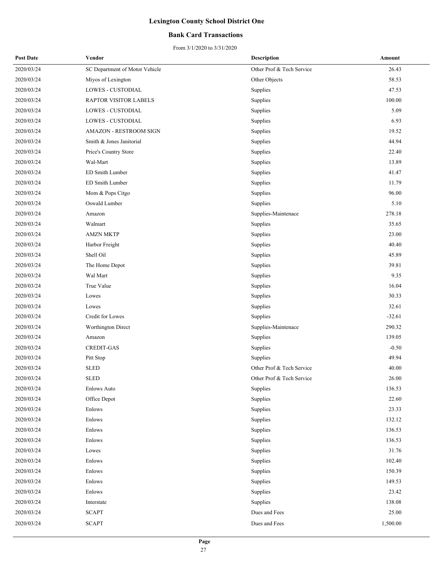### **Bank Card Transactions**

| <b>Post Date</b> | Vendor                         | <b>Description</b>        | Amount   |
|------------------|--------------------------------|---------------------------|----------|
| 2020/03/24       | SC Department of Motor Vehicle | Other Prof & Tech Service | 26.43    |
| 2020/03/24       | Miyos of Lexington             | Other Objects             | 58.53    |
| 2020/03/24       | LOWES - CUSTODIAL              | Supplies                  | 47.53    |
| 2020/03/24       | RAPTOR VISITOR LABELS          | Supplies                  | 100.00   |
| 2020/03/24       | <b>LOWES - CUSTODIAL</b>       | Supplies                  | 5.09     |
| 2020/03/24       | LOWES - CUSTODIAL              | Supplies                  | 6.93     |
| 2020/03/24       | <b>AMAZON - RESTROOM SIGN</b>  | Supplies                  | 19.52    |
| 2020/03/24       | Smith & Jones Janitorial       | Supplies                  | 44.94    |
| 2020/03/24       | Price's Country Store          | Supplies                  | 22.40    |
| 2020/03/24       | Wal-Mart                       | Supplies                  | 13.89    |
| 2020/03/24       | ED Smith Lumber                | Supplies                  | 41.47    |
| 2020/03/24       | ED Smith Lumber                | Supplies                  | 11.79    |
| 2020/03/24       | Mom & Pops Citgo               | Supplies                  | 96.00    |
| 2020/03/24       | Oswald Lumber                  | Supplies                  | 5.10     |
| 2020/03/24       | Amazon                         | Supplies-Maintenace       | 278.18   |
| 2020/03/24       | Walmart                        | Supplies                  | 35.65    |
| 2020/03/24       | <b>AMZN MKTP</b>               | Supplies                  | 23.00    |
| 2020/03/24       | Harbor Freight                 | Supplies                  | 40.40    |
| 2020/03/24       | Shell Oil                      | Supplies                  | 45.89    |
| 2020/03/24       | The Home Depot                 | Supplies                  | 39.81    |
| 2020/03/24       | Wal Mart                       | Supplies                  | 9.35     |
| 2020/03/24       | True Value                     | Supplies                  | 16.04    |
| 2020/03/24       | Lowes                          | Supplies                  | 30.33    |
| 2020/03/24       | Lowes                          | Supplies                  | 32.61    |
| 2020/03/24       | Credit for Lowes               | Supplies                  | $-32.61$ |
| 2020/03/24       | Worthington Direct             | Supplies-Maintenace       | 290.32   |
| 2020/03/24       | Amazon                         | Supplies                  | 139.05   |
| 2020/03/24       | <b>CREDIT-GAS</b>              | Supplies                  | $-0.50$  |
| 2020/03/24       | Pitt Stop                      | Supplies                  | 49.94    |
| 2020/03/24       | <b>SLED</b>                    | Other Prof & Tech Service | 40.00    |
| 2020/03/24       | <b>SLED</b>                    | Other Prof & Tech Service | 26.00    |
| 2020/03/24       | <b>Enlows Auto</b>             | Supplies                  | 136.53   |
| 2020/03/24       | Office Depot                   | Supplies                  | 22.60    |
| 2020/03/24       | Enlows                         | Supplies                  | 23.33    |
| 2020/03/24       | Enlows                         | Supplies                  | 132.12   |
| 2020/03/24       | Enlows                         | Supplies                  | 136.53   |
| 2020/03/24       | Enlows                         | Supplies                  | 136.53   |
| 2020/03/24       | Lowes                          | Supplies                  | 31.76    |
| 2020/03/24       | Enlows                         | Supplies                  | 102.40   |
| 2020/03/24       | Enlows                         | Supplies                  | 150.39   |
| 2020/03/24       | Enlows                         | Supplies                  | 149.53   |
| 2020/03/24       | Enlows                         | Supplies                  | 23.42    |
| 2020/03/24       | Interstate                     | Supplies                  | 138.08   |
| 2020/03/24       | <b>SCAPT</b>                   | Dues and Fees             | 25.00    |
| 2020/03/24       | <b>SCAPT</b>                   | Dues and Fees             | 1,500.00 |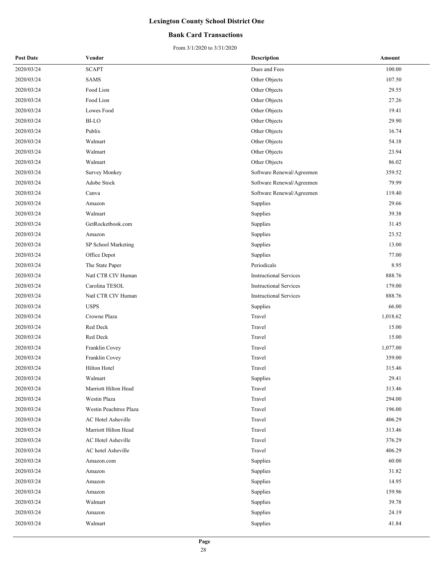### **Bank Card Transactions**

From 3/1/2020 to 3/31/2020

| <b>Post Date</b> | Vendor                 | <b>Description</b>            | Amount   |
|------------------|------------------------|-------------------------------|----------|
| 2020/03/24       | <b>SCAPT</b>           | Dues and Fees                 | 100.00   |
| 2020/03/24       | <b>SAMS</b>            | Other Objects                 | 107.50   |
| 2020/03/24       | Food Lion              | Other Objects                 | 29.55    |
| 2020/03/24       | Food Lion              | Other Objects                 | 27.26    |
| 2020/03/24       | Lowes Food             | Other Objects                 | 19.41    |
| 2020/03/24       | <b>BI-LO</b>           | Other Objects                 | 29.90    |
| 2020/03/24       | Publix                 | Other Objects                 | 16.74    |
| 2020/03/24       | Walmart                | Other Objects                 | 54.18    |
| 2020/03/24       | Walmart                | Other Objects                 | 23.94    |
| 2020/03/24       | Walmart                | Other Objects                 | 86.02    |
| 2020/03/24       | <b>Survey Monkey</b>   | Software Renewal/Agreemen     | 359.52   |
| 2020/03/24       | Adobe Stock            | Software Renewal/Agreemen     | 79.99    |
| 2020/03/24       | Canva                  | Software Renewal/Agreemen     | 119.40   |
| 2020/03/24       | Amazon                 | Supplies                      | 29.66    |
| 2020/03/24       | Walmart                | Supplies                      | 39.38    |
| 2020/03/24       | GetRocketbook.com      | Supplies                      | 31.45    |
| 2020/03/24       | Amazon                 | Supplies                      | 23.52    |
| 2020/03/24       | SP School Marketing    | Supplies                      | 13.00    |
| 2020/03/24       | Office Depot           | Supplies                      | 77.00    |
| 2020/03/24       | The State Paper        | Periodicals                   | 8.95     |
| 2020/03/24       | Natl CTR CIV Human     | <b>Instructional Services</b> | 888.76   |
| 2020/03/24       | Carolina TESOL         | <b>Instructional Services</b> | 179.00   |
| 2020/03/24       | Natl CTR CIV Human     | <b>Instructional Services</b> | 888.76   |
| 2020/03/24       | <b>USPS</b>            | Supplies                      | 66.00    |
| 2020/03/24       | Crowne Plaza           | Travel                        | 1,018.62 |
| 2020/03/24       | Red Deck               | Travel                        | 15.00    |
| 2020/03/24       | Red Deck               | Travel                        | 15.00    |
| 2020/03/24       | Franklin Covey         | Travel                        | 1,077.00 |
| 2020/03/24       | Franklin Covey         | Travel                        | 359.00   |
| 2020/03/24       | Hilton Hotel           | Travel                        | 315.46   |
| 2020/03/24       | Walmart                | Supplies                      | 29.41    |
| 2020/03/24       | Marriott Hilton Head   | Travel                        | 313.46   |
| 2020/03/24       | Westin Plaza           | Travel                        | 294.00   |
| 2020/03/24       | Westin Peachtree Plaza | Travel                        | 196.00   |
| 2020/03/24       | AC Hotel Asheville     | Travel                        | 406.29   |
| 2020/03/24       | Marriott Hilton Head   | Travel                        | 313.46   |
| 2020/03/24       | AC Hotel Asheville     | Travel                        | 376.29   |
| 2020/03/24       | AC hotel Asheville     | Travel                        | 406.29   |
| 2020/03/24       | Amazon.com             | Supplies                      | 60.00    |
| 2020/03/24       | Amazon                 | Supplies                      | 31.82    |
| 2020/03/24       | Amazon                 | Supplies                      | 14.95    |
| 2020/03/24       | Amazon                 | Supplies                      | 159.96   |
| 2020/03/24       | Walmart                | Supplies                      | 39.78    |
| 2020/03/24       | Amazon                 | <b>Supplies</b>               | 24.19    |
| 2020/03/24       | Walmart                | Supplies                      | 41.84    |
|                  |                        |                               |          |

28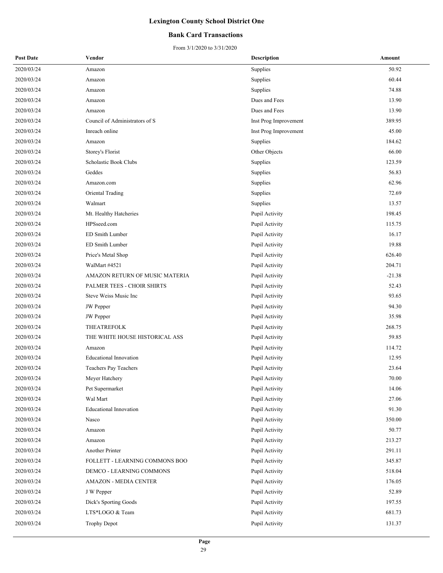### **Bank Card Transactions**

| <b>Post Date</b> | Vendor                         | <b>Description</b>    | Amount   |
|------------------|--------------------------------|-----------------------|----------|
| 2020/03/24       | Amazon                         | Supplies              | 50.92    |
| 2020/03/24       | Amazon                         | Supplies              | 60.44    |
| 2020/03/24       | Amazon                         | Supplies              | 74.88    |
| 2020/03/24       | Amazon                         | Dues and Fees         | 13.90    |
| 2020/03/24       | Amazon                         | Dues and Fees         | 13.90    |
| 2020/03/24       | Council of Administrators of S | Inst Prog Improvement | 389.95   |
| 2020/03/24       | Inreach online                 | Inst Prog Improvement | 45.00    |
| 2020/03/24       | Amazon                         | Supplies              | 184.62   |
| 2020/03/24       | Storey's Florist               | Other Objects         | 66.00    |
| 2020/03/24       | Scholastic Book Clubs          | Supplies              | 123.59   |
| 2020/03/24       | Geddes                         | Supplies              | 56.83    |
| 2020/03/24       | Amazon.com                     | Supplies              | 62.96    |
| 2020/03/24       | Oriental Trading               | Supplies              | 72.69    |
| 2020/03/24       | Walmart                        | Supplies              | 13.57    |
| 2020/03/24       | Mt. Healthy Hatcheries         | Pupil Activity        | 198.45   |
| 2020/03/24       | HPSseed.com                    | Pupil Activity        | 115.75   |
| 2020/03/24       | ED Smith Lumber                | Pupil Activity        | 16.17    |
| 2020/03/24       | ED Smith Lumber                | Pupil Activity        | 19.88    |
| 2020/03/24       | Price's Metal Shop             | Pupil Activity        | 626.40   |
| 2020/03/24       | WalMart #4521                  | Pupil Activity        | 204.71   |
| 2020/03/24       | AMAZON RETURN OF MUSIC MATERIA | Pupil Activity        | $-21.38$ |
| 2020/03/24       | PALMER TEES - CHOIR SHIRTS     | Pupil Activity        | 52.43    |
| 2020/03/24       | Steve Weiss Music Inc          | Pupil Activity        | 93.65    |
| 2020/03/24       | JW Pepper                      | Pupil Activity        | 94.30    |
| 2020/03/24       | JW Pepper                      | Pupil Activity        | 35.98    |
| 2020/03/24       | THEATREFOLK                    | Pupil Activity        | 268.75   |
| 2020/03/24       | THE WHITE HOUSE HISTORICAL ASS | Pupil Activity        | 59.85    |
| 2020/03/24       | Amazon                         | Pupil Activity        | 114.72   |
| 2020/03/24       | <b>Educational Innovation</b>  | Pupil Activity        | 12.95    |
| 2020/03/24       | Teachers Pay Teachers          | Pupil Activity        | 23.64    |
| 2020/03/24       | Meyer Hatchery                 | Pupil Activity        | 70.00    |
| 2020/03/24       | Pet Supermarket                | Pupil Activity        | 14.06    |
| 2020/03/24       | Wal Mart                       | Pupil Activity        | 27.06    |
| 2020/03/24       | <b>Educational Innovation</b>  | Pupil Activity        | 91.30    |
| 2020/03/24       | Nasco                          | Pupil Activity        | 350.00   |
| 2020/03/24       | Amazon                         | Pupil Activity        | 50.77    |
| 2020/03/24       | Amazon                         | Pupil Activity        | 213.27   |
| 2020/03/24       | Another Printer                | Pupil Activity        | 291.11   |
| 2020/03/24       | FOLLETT - LEARNING COMMONS BOO | Pupil Activity        | 345.87   |
| 2020/03/24       | DEMCO - LEARNING COMMONS       | Pupil Activity        | 518.04   |
| 2020/03/24       | AMAZON - MEDIA CENTER          | Pupil Activity        | 176.05   |
| 2020/03/24       | J W Pepper                     | Pupil Activity        | 52.89    |
| 2020/03/24       | Dick's Sporting Goods          | Pupil Activity        | 197.55   |
| 2020/03/24       | LTS*LOGO & Team                | Pupil Activity        | 681.73   |
| 2020/03/24       | <b>Trophy Depot</b>            | Pupil Activity        | 131.37   |
|                  |                                |                       |          |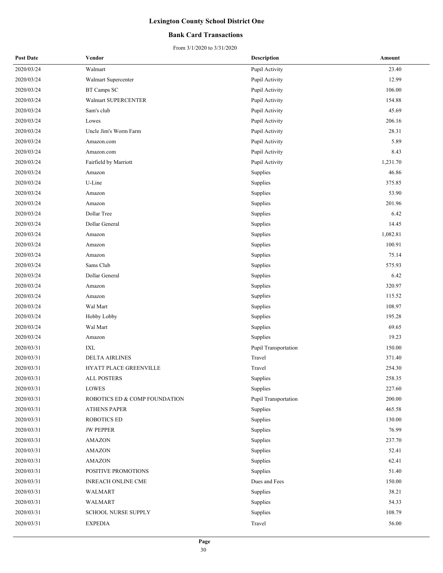### **Bank Card Transactions**

| <b>Post Date</b> | Vendor                        | <b>Description</b>   | Amount   |
|------------------|-------------------------------|----------------------|----------|
| 2020/03/24       | Walmart                       | Pupil Activity       | 23.40    |
| 2020/03/24       | Walmart Supercenter           | Pupil Activity       | 12.99    |
| 2020/03/24       | BT Camps SC                   | Pupil Activity       | 106.00   |
| 2020/03/24       | Walmart SUPERCENTER           | Pupil Activity       | 154.88   |
| 2020/03/24       | Sam's club                    | Pupil Activity       | 45.69    |
| 2020/03/24       | Lowes                         | Pupil Activity       | 206.16   |
| 2020/03/24       | Uncle Jim's Worm Farm         | Pupil Activity       | 28.31    |
| 2020/03/24       | Amazon.com                    | Pupil Activity       | 5.89     |
| 2020/03/24       | Amazon.com                    | Pupil Activity       | 8.43     |
| 2020/03/24       | Fairfield by Marriott         | Pupil Activity       | 1,231.70 |
| 2020/03/24       | Amazon                        | Supplies             | 46.86    |
| 2020/03/24       | U-Line                        | Supplies             | 375.85   |
| 2020/03/24       | Amazon                        | Supplies             | 53.90    |
| 2020/03/24       | Amazon                        | Supplies             | 201.96   |
| 2020/03/24       | Dollar Tree                   | Supplies             | 6.42     |
| 2020/03/24       | Dollar General                | Supplies             | 14.45    |
| 2020/03/24       | Amazon                        | Supplies             | 1,082.81 |
| 2020/03/24       | Amazon                        | Supplies             | 100.91   |
| 2020/03/24       | Amazon                        | Supplies             | 75.14    |
| 2020/03/24       | Sams Club                     | Supplies             | 575.93   |
| 2020/03/24       | Dollar General                | Supplies             | 6.42     |
| 2020/03/24       | Amazon                        | Supplies             | 320.97   |
| 2020/03/24       | Amazon                        | Supplies             | 115.52   |
| 2020/03/24       | Wal Mart                      | Supplies             | 108.97   |
| 2020/03/24       | Hobby Lobby                   | Supplies             | 195.28   |
| 2020/03/24       | Wal Mart                      | Supplies             | 69.65    |
| 2020/03/24       | Amazon                        | Supplies             | 19.23    |
| 2020/03/31       | IXL                           | Pupil Transportation | 150.00   |
| 2020/03/31       | <b>DELTA AIRLINES</b>         | Travel               | 371.40   |
| 2020/03/31       | HYATT PLACE GREENVILLE        | Travel               | 254.30   |
| 2020/03/31       | ALL POSTERS                   | Supplies             | 258.35   |
| 2020/03/31       | LOWES                         | Supplies             | 227.60   |
| 2020/03/31       | ROBOTICS ED & COMP FOUNDATION | Pupil Transportation | 200.00   |
| 2020/03/31       | <b>ATHENS PAPER</b>           | Supplies             | 465.58   |
| 2020/03/31       | <b>ROBOTICS ED</b>            | Supplies             | 130.00   |
| 2020/03/31       | <b>JW PEPPER</b>              | Supplies             | 76.99    |
| 2020/03/31       | <b>AMAZON</b>                 | Supplies             | 237.70   |
| 2020/03/31       | <b>AMAZON</b>                 | Supplies             | 52.41    |
| 2020/03/31       | <b>AMAZON</b>                 | Supplies             | 62.41    |
| 2020/03/31       | POSITIVE PROMOTIONS           | Supplies             | 51.40    |
| 2020/03/31       | <b>INREACH ONLINE CME</b>     | Dues and Fees        | 150.00   |
| 2020/03/31       | WALMART                       | Supplies             | 38.21    |
| 2020/03/31       | WALMART                       | Supplies             | 54.33    |
| 2020/03/31       | <b>SCHOOL NURSE SUPPLY</b>    | Supplies             | 108.79   |
| 2020/03/31       | <b>EXPEDIA</b>                | Travel               | 56.00    |
|                  |                               |                      |          |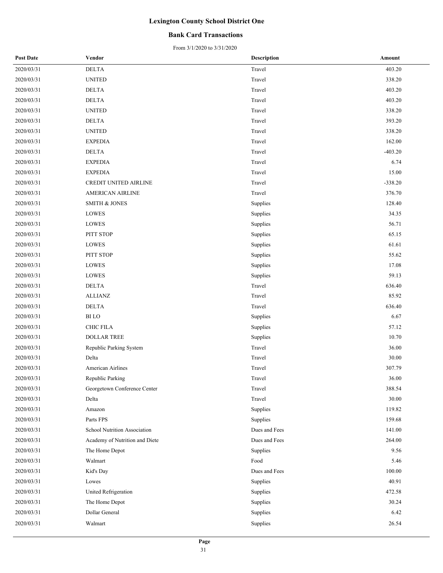### **Bank Card Transactions**

| <b>Post Date</b> | Vendor                         | <b>Description</b> | Amount    |
|------------------|--------------------------------|--------------------|-----------|
| 2020/03/31       | <b>DELTA</b>                   | Travel             | 403.20    |
| 2020/03/31       | <b>UNITED</b>                  | Travel             | 338.20    |
| 2020/03/31       | <b>DELTA</b>                   | Travel             | 403.20    |
| 2020/03/31       | DELTA                          | Travel             | 403.20    |
| 2020/03/31       | <b>UNITED</b>                  | Travel             | 338.20    |
| 2020/03/31       | $\rm DELTA$                    | Travel             | 393.20    |
| 2020/03/31       | <b>UNITED</b>                  | Travel             | 338.20    |
| 2020/03/31       | <b>EXPEDIA</b>                 | Travel             | 162.00    |
| 2020/03/31       | <b>DELTA</b>                   | Travel             | $-403.20$ |
| 2020/03/31       | <b>EXPEDIA</b>                 | Travel             | 6.74      |
| 2020/03/31       | <b>EXPEDIA</b>                 | Travel             | 15.00     |
| 2020/03/31       | CREDIT UNITED AIRLINE          | Travel             | $-338.20$ |
| 2020/03/31       | AMERICAN AIRLINE               | Travel             | 376.70    |
| 2020/03/31       | <b>SMITH &amp; JONES</b>       | Supplies           | 128.40    |
| 2020/03/31       | LOWES                          | Supplies           | 34.35     |
| 2020/03/31       | LOWES                          | Supplies           | 56.71     |
| 2020/03/31       | PITT STOP                      | Supplies           | 65.15     |
| 2020/03/31       | LOWES                          | Supplies           | 61.61     |
| 2020/03/31       | PITT STOP                      | Supplies           | 55.62     |
| 2020/03/31       | LOWES                          | Supplies           | 17.08     |
| 2020/03/31       | LOWES                          | Supplies           | 59.13     |
| 2020/03/31       | <b>DELTA</b>                   | Travel             | 636.40    |
| 2020/03/31       | ALLIANZ                        | Travel             | 85.92     |
| 2020/03/31       | <b>DELTA</b>                   | Travel             | 636.40    |
| 2020/03/31       | <b>BI</b> LO                   | Supplies           | 6.67      |
| 2020/03/31       | CHIC FILA                      | Supplies           | 57.12     |
| 2020/03/31       | <b>DOLLAR TREE</b>             | Supplies           | 10.70     |
| 2020/03/31       | Republic Parking System        | Travel             | 36.00     |
| 2020/03/31       | Delta                          | Travel             | 30.00     |
| 2020/03/31       | American Airlines              | Travel             | 307.79    |
| 2020/03/31       | Republic Parking               | Travel             | 36.00     |
| 2020/03/31       | Georgetown Conference Center   | Travel             | 388.54    |
| 2020/03/31       | Delta                          | Travel             | 30.00     |
| 2020/03/31       | Amazon                         | Supplies           | 119.82    |
| 2020/03/31       | Parts FPS                      | Supplies           | 159.68    |
| 2020/03/31       | School Nutrition Association   | Dues and Fees      | 141.00    |
| 2020/03/31       | Academy of Nutrition and Diete | Dues and Fees      | 264.00    |
| 2020/03/31       | The Home Depot                 | Supplies           | 9.56      |
| 2020/03/31       | Walmart                        | Food               | 5.46      |
| 2020/03/31       | Kid's Day                      | Dues and Fees      | 100.00    |
| 2020/03/31       | Lowes                          | Supplies           | 40.91     |
| 2020/03/31       | United Refrigeration           | Supplies           | 472.58    |
| 2020/03/31       | The Home Depot                 | Supplies           | 30.24     |
| 2020/03/31       | Dollar General                 | Supplies           | 6.42      |
| 2020/03/31       | Walmart                        | Supplies           | 26.54     |
|                  |                                |                    |           |